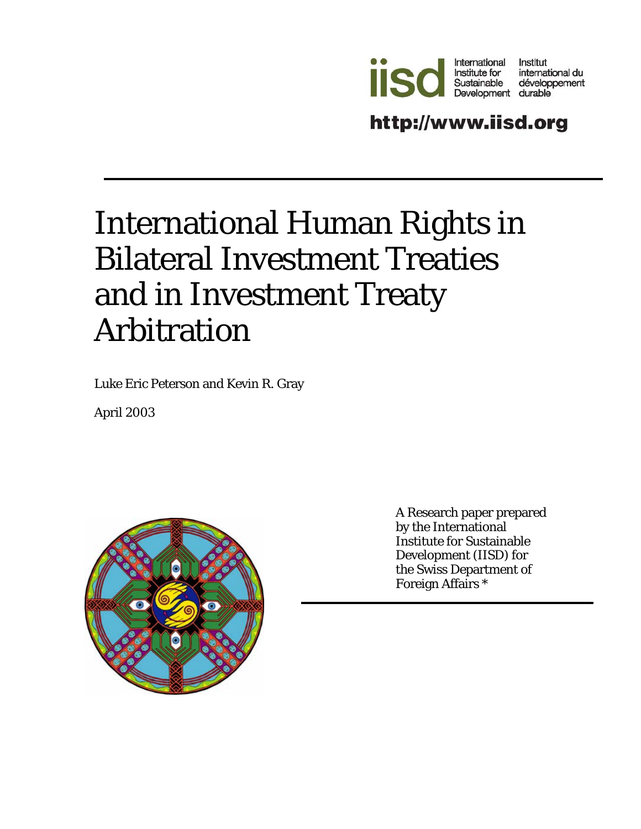

http://www.iisd.org

# International Human Rights in Bilateral Investment Treaties and in Investment Treaty Arbitration

Luke Eric Peterson and Kevin R. Gray

April 2003



A Research paper prepared by the International Institute for Sustainable Development (IISD) for the Swiss Department of Foreign Affairs \*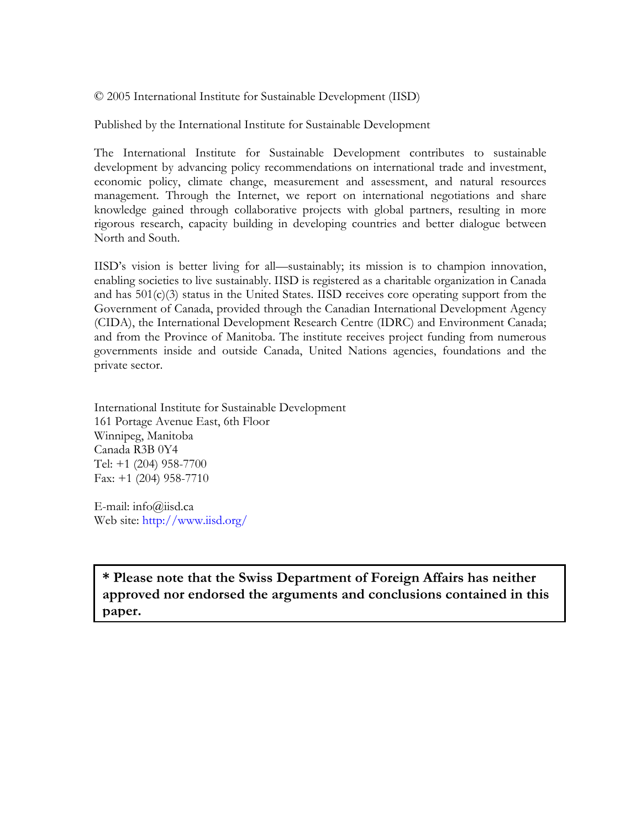© 2005 International Institute for Sustainable Development (IISD)

Published by the International Institute for Sustainable Development

The International Institute for Sustainable Development contributes to sustainable development by advancing policy recommendations on international trade and investment, economic policy, climate change, measurement and assessment, and natural resources management. Through the Internet, we report on international negotiations and share knowledge gained through collaborative projects with global partners, resulting in more rigorous research, capacity building in developing countries and better dialogue between North and South.

IISD's vision is better living for all—sustainably; its mission is to champion innovation, enabling societies to live sustainably. IISD is registered as a charitable organization in Canada and has 501(c)(3) status in the United States. IISD receives core operating support from the Government of Canada, provided through the Canadian International Development Agency (CIDA), the International Development Research Centre (IDRC) and Environment Canada; and from the Province of Manitoba. The institute receives project funding from numerous governments inside and outside Canada, United Nations agencies, foundations and the private sector.

International Institute for Sustainable Development 161 Portage Avenue East, 6th Floor Winnipeg, Manitoba Canada R3B 0Y4 Tel: +1 (204) 958-7700 Fax: +1 (204) 958-7710

E-mail: info@iisd.ca Web site: http://www.iisd.org/

**\* Please note that the Swiss Department of Foreign Affairs has neither approved nor endorsed the arguments and conclusions contained in this paper.**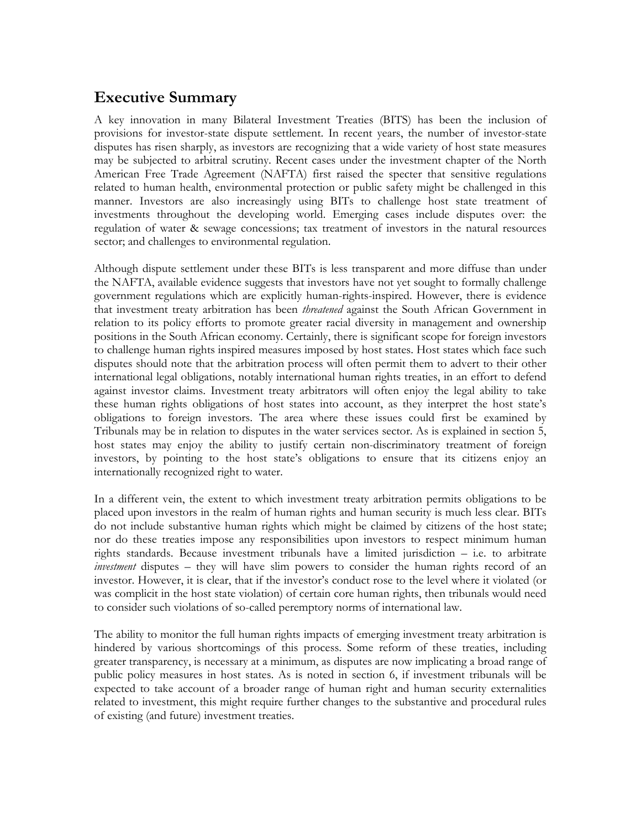## **Executive Summary**

A key innovation in many Bilateral Investment Treaties (BITS) has been the inclusion of provisions for investor-state dispute settlement. In recent years, the number of investor-state disputes has risen sharply, as investors are recognizing that a wide variety of host state measures may be subjected to arbitral scrutiny. Recent cases under the investment chapter of the North American Free Trade Agreement (NAFTA) first raised the specter that sensitive regulations related to human health, environmental protection or public safety might be challenged in this manner. Investors are also increasingly using BITs to challenge host state treatment of investments throughout the developing world. Emerging cases include disputes over: the regulation of water & sewage concessions; tax treatment of investors in the natural resources sector; and challenges to environmental regulation.

Although dispute settlement under these BITs is less transparent and more diffuse than under the NAFTA, available evidence suggests that investors have not yet sought to formally challenge government regulations which are explicitly human-rights-inspired. However, there is evidence that investment treaty arbitration has been *threatened* against the South African Government in relation to its policy efforts to promote greater racial diversity in management and ownership positions in the South African economy. Certainly, there is significant scope for foreign investors to challenge human rights inspired measures imposed by host states. Host states which face such disputes should note that the arbitration process will often permit them to advert to their other international legal obligations, notably international human rights treaties, in an effort to defend against investor claims. Investment treaty arbitrators will often enjoy the legal ability to take these human rights obligations of host states into account, as they interpret the host state's obligations to foreign investors. The area where these issues could first be examined by Tribunals may be in relation to disputes in the water services sector. As is explained in section 5, host states may enjoy the ability to justify certain non-discriminatory treatment of foreign investors, by pointing to the host state's obligations to ensure that its citizens enjoy an internationally recognized right to water.

In a different vein, the extent to which investment treaty arbitration permits obligations to be placed upon investors in the realm of human rights and human security is much less clear. BITs do not include substantive human rights which might be claimed by citizens of the host state; nor do these treaties impose any responsibilities upon investors to respect minimum human rights standards. Because investment tribunals have a limited jurisdiction – i.e. to arbitrate *investment* disputes – they will have slim powers to consider the human rights record of an investor. However, it is clear, that if the investor's conduct rose to the level where it violated (or was complicit in the host state violation) of certain core human rights, then tribunals would need to consider such violations of so-called peremptory norms of international law.

The ability to monitor the full human rights impacts of emerging investment treaty arbitration is hindered by various shortcomings of this process. Some reform of these treaties, including greater transparency, is necessary at a minimum, as disputes are now implicating a broad range of public policy measures in host states. As is noted in section 6, if investment tribunals will be expected to take account of a broader range of human right and human security externalities related to investment, this might require further changes to the substantive and procedural rules of existing (and future) investment treaties.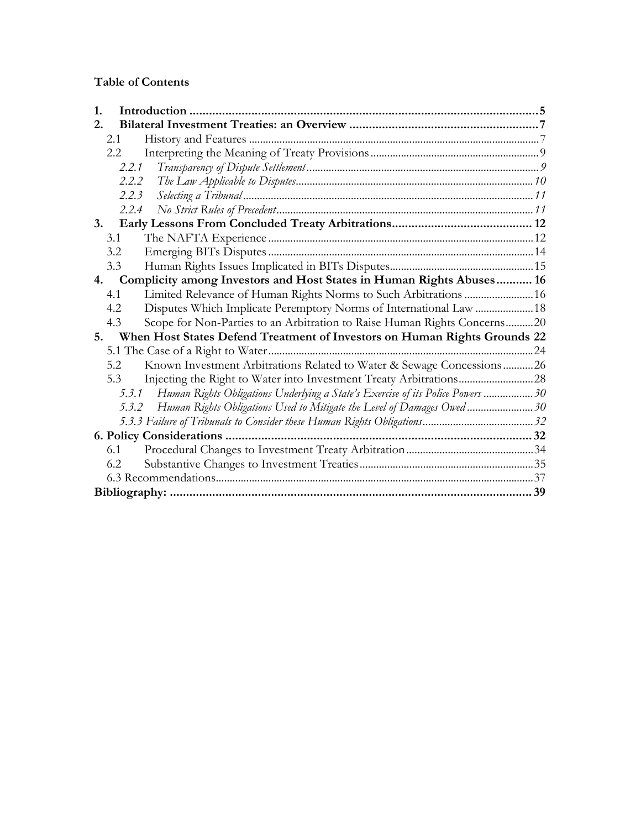#### **Table of Contents**

| 1.                                                                                       |  |
|------------------------------------------------------------------------------------------|--|
| 2.                                                                                       |  |
| 2.1                                                                                      |  |
| 2.2                                                                                      |  |
| 2.2.1                                                                                    |  |
| 2.2.2                                                                                    |  |
| 2.2.3                                                                                    |  |
| 2.2.4                                                                                    |  |
| 3.                                                                                       |  |
| 3.1                                                                                      |  |
| 3.2                                                                                      |  |
| 3.3                                                                                      |  |
| Complicity among Investors and Host States in Human Rights Abuses 16<br>4.               |  |
| Limited Relevance of Human Rights Norms to Such Arbitrations  16<br>4.1                  |  |
| 4.2<br>Disputes Which Implicate Peremptory Norms of International Law  18                |  |
| Scope for Non-Parties to an Arbitration to Raise Human Rights Concerns20<br>4.3          |  |
| When Host States Defend Treatment of Investors on Human Rights Grounds 22<br>5.          |  |
|                                                                                          |  |
| Known Investment Arbitrations Related to Water & Sewage Concessions26<br>5.2             |  |
| 5.3                                                                                      |  |
| Human Rights Obligations Underlying a State's Exercise of its Police Powers  30<br>5.3.1 |  |
| Human Rights Obligations Used to Mitigate the Level of Damages Owed30<br>5.3.2           |  |
|                                                                                          |  |
|                                                                                          |  |
| 6.1                                                                                      |  |
| 6.2                                                                                      |  |
|                                                                                          |  |
|                                                                                          |  |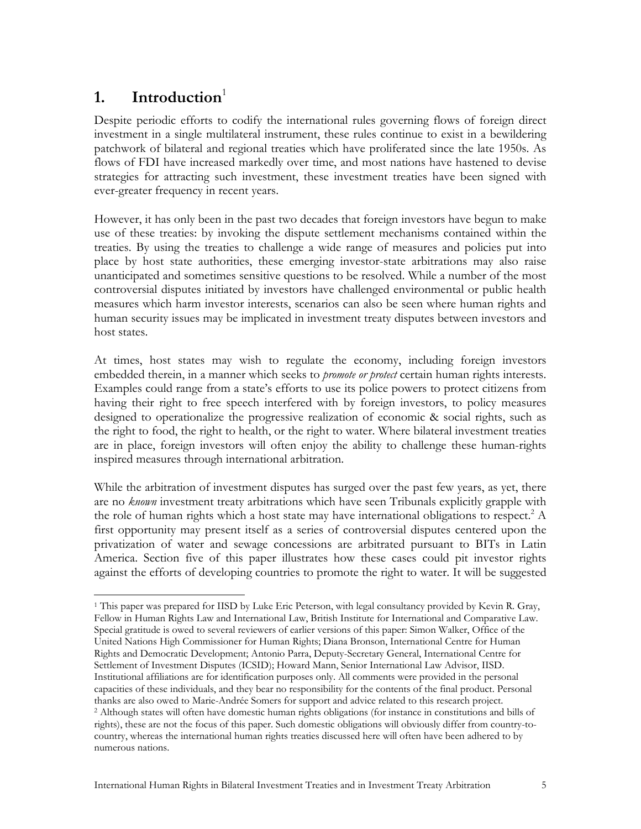# 1. Introduction<sup>1</sup>

Despite periodic efforts to codify the international rules governing flows of foreign direct investment in a single multilateral instrument, these rules continue to exist in a bewildering patchwork of bilateral and regional treaties which have proliferated since the late 1950s. As flows of FDI have increased markedly over time, and most nations have hastened to devise strategies for attracting such investment, these investment treaties have been signed with ever-greater frequency in recent years.

However, it has only been in the past two decades that foreign investors have begun to make use of these treaties: by invoking the dispute settlement mechanisms contained within the treaties. By using the treaties to challenge a wide range of measures and policies put into place by host state authorities, these emerging investor-state arbitrations may also raise unanticipated and sometimes sensitive questions to be resolved. While a number of the most controversial disputes initiated by investors have challenged environmental or public health measures which harm investor interests, scenarios can also be seen where human rights and human security issues may be implicated in investment treaty disputes between investors and host states.

At times, host states may wish to regulate the economy, including foreign investors embedded therein, in a manner which seeks to *promote or protect* certain human rights interests. Examples could range from a state's efforts to use its police powers to protect citizens from having their right to free speech interfered with by foreign investors, to policy measures designed to operationalize the progressive realization of economic & social rights, such as the right to food, the right to health, or the right to water. Where bilateral investment treaties are in place, foreign investors will often enjoy the ability to challenge these human-rights inspired measures through international arbitration.

While the arbitration of investment disputes has surged over the past few years, as yet, there are no *known* investment treaty arbitrations which have seen Tribunals explicitly grapple with the role of human rights which a host state may have international obligations to respect.<sup>2</sup> A first opportunity may present itself as a series of controversial disputes centered upon the privatization of water and sewage concessions are arbitrated pursuant to BITs in Latin America. Section five of this paper illustrates how these cases could pit investor rights against the efforts of developing countries to promote the right to water. It will be suggested

<sup>1</sup> 1 This paper was prepared for IISD by Luke Eric Peterson, with legal consultancy provided by Kevin R. Gray, Fellow in Human Rights Law and International Law, British Institute for International and Comparative Law. Special gratitude is owed to several reviewers of earlier versions of this paper: Simon Walker, Office of the United Nations High Commissioner for Human Rights; Diana Bronson, International Centre for Human Rights and Democratic Development; Antonio Parra, Deputy-Secretary General, International Centre for Settlement of Investment Disputes (ICSID); Howard Mann, Senior International Law Advisor, IISD. Institutional affiliations are for identification purposes only. All comments were provided in the personal capacities of these individuals, and they bear no responsibility for the contents of the final product. Personal thanks are also owed to Marie-Andrée Somers for support and advice related to this research project. 2 Although states will often have domestic human rights obligations (for instance in constitutions and bills of rights), these are not the focus of this paper. Such domestic obligations will obviously differ from country-tocountry, whereas the international human rights treaties discussed here will often have been adhered to by numerous nations.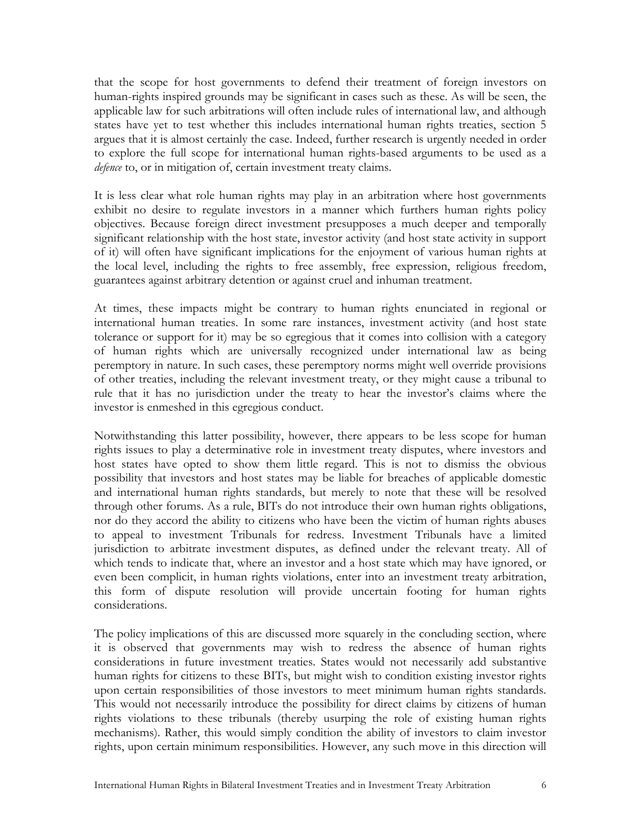that the scope for host governments to defend their treatment of foreign investors on human-rights inspired grounds may be significant in cases such as these. As will be seen, the applicable law for such arbitrations will often include rules of international law, and although states have yet to test whether this includes international human rights treaties, section 5 argues that it is almost certainly the case. Indeed, further research is urgently needed in order to explore the full scope for international human rights-based arguments to be used as a *defence* to, or in mitigation of, certain investment treaty claims.

It is less clear what role human rights may play in an arbitration where host governments exhibit no desire to regulate investors in a manner which furthers human rights policy objectives. Because foreign direct investment presupposes a much deeper and temporally significant relationship with the host state, investor activity (and host state activity in support of it) will often have significant implications for the enjoyment of various human rights at the local level, including the rights to free assembly, free expression, religious freedom, guarantees against arbitrary detention or against cruel and inhuman treatment.

At times, these impacts might be contrary to human rights enunciated in regional or international human treaties. In some rare instances, investment activity (and host state tolerance or support for it) may be so egregious that it comes into collision with a category of human rights which are universally recognized under international law as being peremptory in nature. In such cases, these peremptory norms might well override provisions of other treaties, including the relevant investment treaty, or they might cause a tribunal to rule that it has no jurisdiction under the treaty to hear the investor's claims where the investor is enmeshed in this egregious conduct.

Notwithstanding this latter possibility, however, there appears to be less scope for human rights issues to play a determinative role in investment treaty disputes, where investors and host states have opted to show them little regard. This is not to dismiss the obvious possibility that investors and host states may be liable for breaches of applicable domestic and international human rights standards, but merely to note that these will be resolved through other forums. As a rule, BITs do not introduce their own human rights obligations, nor do they accord the ability to citizens who have been the victim of human rights abuses to appeal to investment Tribunals for redress. Investment Tribunals have a limited jurisdiction to arbitrate investment disputes, as defined under the relevant treaty. All of which tends to indicate that, where an investor and a host state which may have ignored, or even been complicit, in human rights violations, enter into an investment treaty arbitration, this form of dispute resolution will provide uncertain footing for human rights considerations.

The policy implications of this are discussed more squarely in the concluding section, where it is observed that governments may wish to redress the absence of human rights considerations in future investment treaties. States would not necessarily add substantive human rights for citizens to these BITs, but might wish to condition existing investor rights upon certain responsibilities of those investors to meet minimum human rights standards. This would not necessarily introduce the possibility for direct claims by citizens of human rights violations to these tribunals (thereby usurping the role of existing human rights mechanisms). Rather, this would simply condition the ability of investors to claim investor rights, upon certain minimum responsibilities. However, any such move in this direction will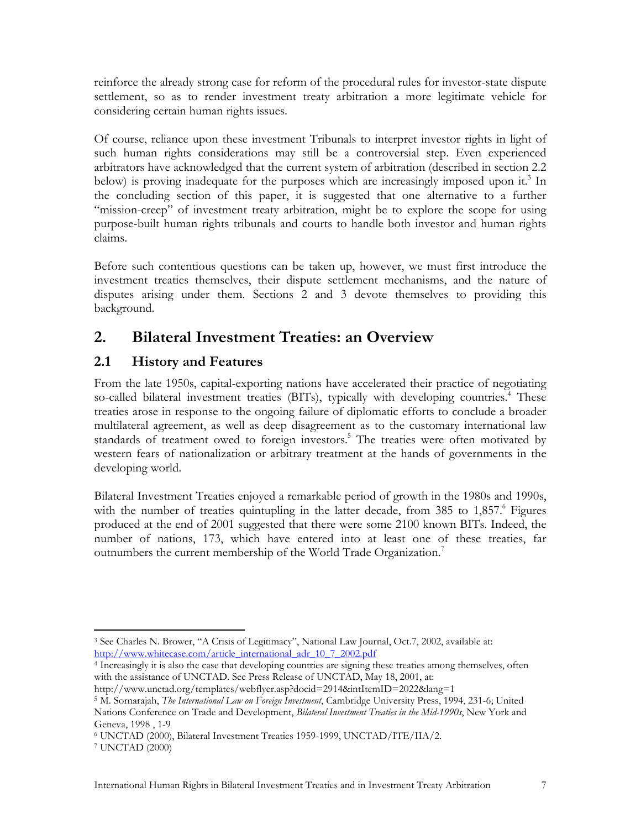reinforce the already strong case for reform of the procedural rules for investor-state dispute settlement, so as to render investment treaty arbitration a more legitimate vehicle for considering certain human rights issues.

Of course, reliance upon these investment Tribunals to interpret investor rights in light of such human rights considerations may still be a controversial step. Even experienced arbitrators have acknowledged that the current system of arbitration (described in section 2.2 below) is proving inadequate for the purposes which are increasingly imposed upon it.<sup>3</sup> In the concluding section of this paper, it is suggested that one alternative to a further "mission-creep" of investment treaty arbitration, might be to explore the scope for using purpose-built human rights tribunals and courts to handle both investor and human rights claims.

Before such contentious questions can be taken up, however, we must first introduce the investment treaties themselves, their dispute settlement mechanisms, and the nature of disputes arising under them. Sections 2 and 3 devote themselves to providing this background.

# **2. Bilateral Investment Treaties: an Overview**

## **2.1 History and Features**

From the late 1950s, capital-exporting nations have accelerated their practice of negotiating so-called bilateral investment treaties (BITs), typically with developing countries.<sup>4</sup> These treaties arose in response to the ongoing failure of diplomatic efforts to conclude a broader multilateral agreement, as well as deep disagreement as to the customary international law standards of treatment owed to foreign investors.<sup>5</sup> The treaties were often motivated by western fears of nationalization or arbitrary treatment at the hands of governments in the developing world.

Bilateral Investment Treaties enjoyed a remarkable period of growth in the 1980s and 1990s, with the number of treaties quintupling in the latter decade, from 385 to 1,857.<sup>6</sup> Figures produced at the end of 2001 suggested that there were some 2100 known BITs. Indeed, the number of nations, 173, which have entered into at least one of these treaties, far outnumbers the current membership of the World Trade Organization.<sup>7</sup>

 $\overline{a}$ 3 See Charles N. Brower, "A Crisis of Legitimacy", National Law Journal, Oct.7, 2002, available at: http://www.whitecase.com/article\_international\_adr\_10\_7\_2002.pdf<br><sup>4</sup> Increasingly it is also the case that developing countries are signing these treaties among themselves, often

with the assistance of UNCTAD. See Press Release of UNCTAD, May 18, 2001, at:

http://www.unctad.org/templates/webflyer.asp?docid=2914&intItemID=2022&lang=1 5 M. Sornarajah, *The International Law on Foreign Investment*, Cambridge University Press, 1994, 231-6; United Nations Conference on Trade and Development, *Bilateral Investment Treaties in the Mid-1990s*, New York and Geneva, 1998 , 1-9

<sup>6</sup> UNCTAD (2000), Bilateral Investment Treaties 1959-1999, UNCTAD/ITE/IIA/2. 7 UNCTAD (2000)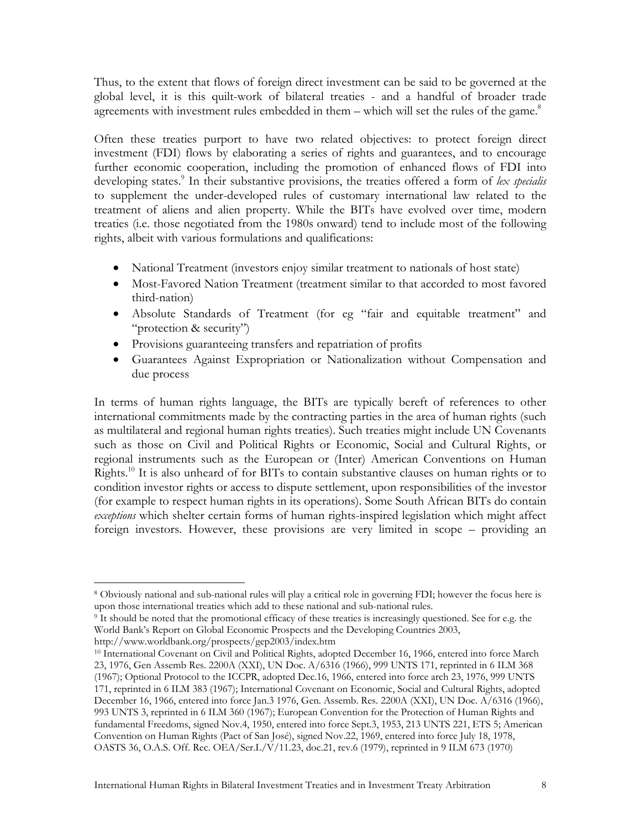Thus, to the extent that flows of foreign direct investment can be said to be governed at the global level, it is this quilt-work of bilateral treaties - and a handful of broader trade agreements with investment rules embedded in them  $-$  which will set the rules of the game.<sup>8</sup>

Often these treaties purport to have two related objectives: to protect foreign direct investment (FDI) flows by elaborating a series of rights and guarantees, and to encourage further economic cooperation, including the promotion of enhanced flows of FDI into developing states.<sup>9</sup> In their substantive provisions, the treaties offered a form of lex specialis to supplement the under-developed rules of customary international law related to the treatment of aliens and alien property. While the BITs have evolved over time, modern treaties (i.e. those negotiated from the 1980s onward) tend to include most of the following rights, albeit with various formulations and qualifications:

- National Treatment (investors enjoy similar treatment to nationals of host state)
- Most-Favored Nation Treatment (treatment similar to that accorded to most favored third-nation)
- Absolute Standards of Treatment (for eg "fair and equitable treatment" and "protection & security")
- Provisions guaranteeing transfers and repatriation of profits
- Guarantees Against Expropriation or Nationalization without Compensation and due process

In terms of human rights language, the BITs are typically bereft of references to other international commitments made by the contracting parties in the area of human rights (such as multilateral and regional human rights treaties). Such treaties might include UN Covenants such as those on Civil and Political Rights or Economic, Social and Cultural Rights, or regional instruments such as the European or (Inter) American Conventions on Human Rights.<sup>10</sup> It is also unheard of for BITs to contain substantive clauses on human rights or to condition investor rights or access to dispute settlement, upon responsibilities of the investor (for example to respect human rights in its operations). Some South African BITs do contain *exceptions* which shelter certain forms of human rights-inspired legislation which might affect foreign investors. However, these provisions are very limited in scope – providing an

 $\overline{a}$ 8 Obviously national and sub-national rules will play a critical role in governing FDI; however the focus here is

 $\frac{1}{2}$  It should be noted that the promotional efficacy of these treaties is increasingly questioned. See for e.g. the World Bank's Report on Global Economic Prospects and the Developing Countries 2003,

http://www.worldbank.org/prospects/gep2003/index.htm<br><sup>10</sup> International Covenant on Civil and Political Rights, adopted December 16, 1966, entered into force March 23, 1976, Gen Assemb Res. 2200A (XXI), UN Doc. A/6316 (1966), 999 UNTS 171, reprinted in 6 ILM 368 (1967); Optional Protocol to the ICCPR, adopted Dec.16, 1966, entered into force arch 23, 1976, 999 UNTS 171, reprinted in 6 ILM 383 (1967); International Covenant on Economic, Social and Cultural Rights, adopted December 16, 1966, entered into force Jan.3 1976, Gen. Assemb. Res. 2200A (XXI), UN Doc. A/6316 (1966), 993 UNTS 3, reprinted in 6 ILM 360 (1967); European Convention for the Protection of Human Rights and fundamental Freedoms, signed Nov.4, 1950, entered into force Sept.3, 1953, 213 UNTS 221, ETS 5; American Convention on Human Rights (Pact of San José), signed Nov.22, 1969, entered into force July 18, 1978, OASTS 36, O.A.S. Off. Rec. OEA/Ser.L/V/11.23, doc.21, rev.6 (1979), reprinted in 9 ILM 673 (1970)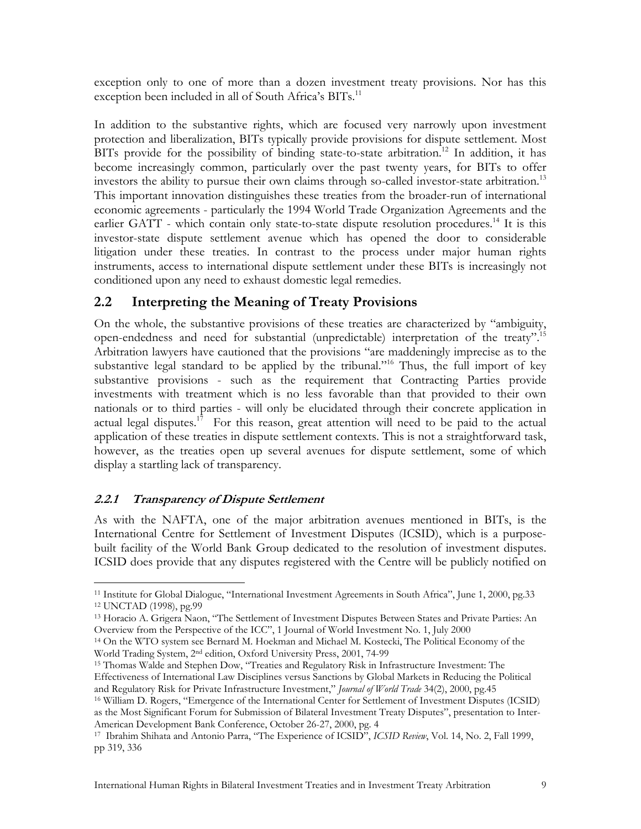exception only to one of more than a dozen investment treaty provisions. Nor has this exception been included in all of South Africa's BITs.<sup>11</sup>

In addition to the substantive rights, which are focused very narrowly upon investment protection and liberalization, BITs typically provide provisions for dispute settlement. Most BITs provide for the possibility of binding state-to-state arbitration.<sup>12</sup> In addition, it has become increasingly common, particularly over the past twenty years, for BITs to offer investors the ability to pursue their own claims through so-called investor-state arbitration.<sup>13</sup> This important innovation distinguishes these treaties from the broader-run of international economic agreements - particularly the 1994 World Trade Organization Agreements and the earlier GATT - which contain only state-to-state dispute resolution procedures.<sup>14</sup> It is this investor-state dispute settlement avenue which has opened the door to considerable litigation under these treaties. In contrast to the process under major human rights instruments, access to international dispute settlement under these BITs is increasingly not conditioned upon any need to exhaust domestic legal remedies.

## **2.2 Interpreting the Meaning of Treaty Provisions**

On the whole, the substantive provisions of these treaties are characterized by "ambiguity, open-endedness and need for substantial (unpredictable) interpretation of the treaty".15 Arbitration lawyers have cautioned that the provisions "are maddeningly imprecise as to the substantive legal standard to be applied by the tribunal."<sup>16</sup> Thus, the full import of key substantive provisions - such as the requirement that Contracting Parties provide investments with treatment which is no less favorable than that provided to their own nationals or to third parties - will only be elucidated through their concrete application in actual legal disputes.<sup>17</sup> For this reason, great attention will need to be paid to the actual application of these treaties in dispute settlement contexts. This is not a straightforward task, however, as the treaties open up several avenues for dispute settlement, some of which display a startling lack of transparency.

#### **2.2.1 Transparency of Dispute Settlement**

As with the NAFTA, one of the major arbitration avenues mentioned in BITs, is the International Centre for Settlement of Investment Disputes (ICSID), which is a purposebuilt facility of the World Bank Group dedicated to the resolution of investment disputes. ICSID does provide that any disputes registered with the Centre will be publicly notified on

 $\overline{a}$ <sup>11</sup> Institute for Global Dialogue, "International Investment Agreements in South Africa", June 1, 2000, pg.33<br><sup>12</sup> UNCTAD (1998), pg.99

<sup>13</sup> Horacio A. Grigera Naon, "The Settlement of Investment Disputes Between States and Private Parties: An Overview from the Perspective of the ICC", 1 Journal of World Investment No. 1, July 2000

<sup>14</sup> On the WTO system see Bernard M. Hoekman and Michael M. Kostecki, The Political Economy of the

World Trading System, 2<sup>nd</sup> edition, Oxford University Press, 2001, 74-99<br><sup>15</sup> Thomas Walde and Stephen Dow, "Treaties and Regulatory Risk in Infrastructure Investment: The Effectiveness of International Law Disciplines versus Sanctions by Global Markets in Reducing the Political and Regulatory Risk for Private Infrastructure Investment," *Journal of World Trade* 34(2), 2000, pg.45 16 William D. Rogers, "Emergence of the International Center for Settlement of Investment Disputes (ICSID)

as the Most Significant Forum for Submission of Bilateral Investment Treaty Disputes", presentation to Inter-American Development Bank Conference, October 26-27, 2000, pg. 4<br><sup>17</sup> Ibrahim Shihata and Antonio Parra, "The Experience of ICSID", *ICSID Review*, Vol. 14, No. 2, Fall 1999,

pp 319, 336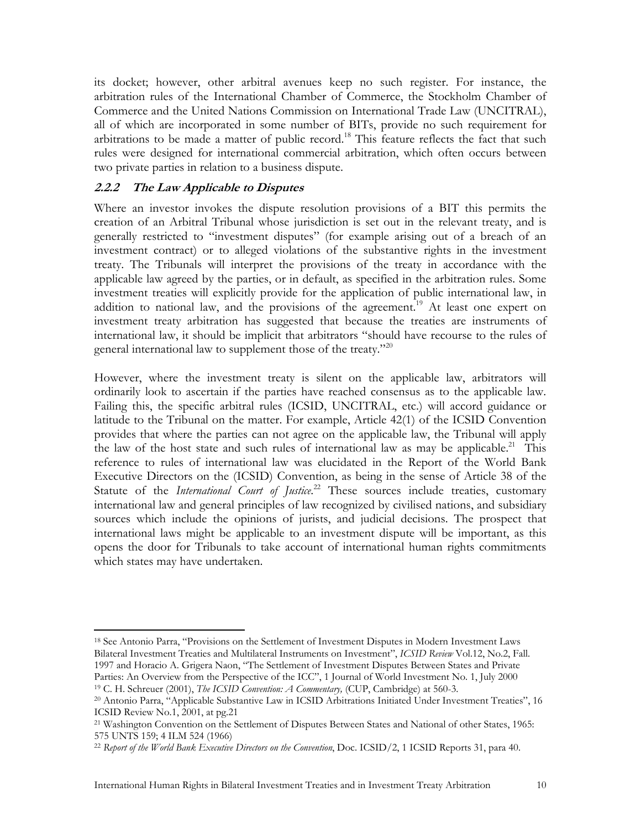its docket; however, other arbitral avenues keep no such register. For instance, the arbitration rules of the International Chamber of Commerce, the Stockholm Chamber of Commerce and the United Nations Commission on International Trade Law (UNCITRAL), all of which are incorporated in some number of BITs, provide no such requirement for arbitrations to be made a matter of public record.<sup>18</sup> This feature reflects the fact that such rules were designed for international commercial arbitration, which often occurs between two private parties in relation to a business dispute.

#### **2.2.2 The Law Applicable to Disputes**

Where an investor invokes the dispute resolution provisions of a BIT this permits the creation of an Arbitral Tribunal whose jurisdiction is set out in the relevant treaty, and is generally restricted to "investment disputes" (for example arising out of a breach of an investment contract) or to alleged violations of the substantive rights in the investment treaty. The Tribunals will interpret the provisions of the treaty in accordance with the applicable law agreed by the parties, or in default, as specified in the arbitration rules. Some investment treaties will explicitly provide for the application of public international law, in addition to national law, and the provisions of the agreement.<sup>19</sup> At least one expert on investment treaty arbitration has suggested that because the treaties are instruments of international law, it should be implicit that arbitrators "should have recourse to the rules of general international law to supplement those of the treaty."<sup>20</sup>

However, where the investment treaty is silent on the applicable law, arbitrators will ordinarily look to ascertain if the parties have reached consensus as to the applicable law. Failing this, the specific arbitral rules (ICSID, UNCITRAL, etc.) will accord guidance or latitude to the Tribunal on the matter. For example, Article 42(1) of the ICSID Convention provides that where the parties can not agree on the applicable law, the Tribunal will apply the law of the host state and such rules of international law as may be applicable.<sup>21</sup> This reference to rules of international law was elucidated in the Report of the World Bank Executive Directors on the (ICSID) Convention, as being in the sense of Article 38 of the Statute of the *International Court of Justice*.<sup>22</sup> These sources include treaties, customary international law and general principles of law recognized by civilised nations, and subsidiary sources which include the opinions of jurists, and judicial decisions. The prospect that international laws might be applicable to an investment dispute will be important, as this opens the door for Tribunals to take account of international human rights commitments which states may have undertaken.

 $\overline{a}$ 18 See Antonio Parra, "Provisions on the Settlement of Investment Disputes in Modern Investment Laws Bilateral Investment Treaties and Multilateral Instruments on Investment", *ICSID Review* Vol.12, No.2, Fall. 1997 and Horacio A. Grigera Naon, "The Settlement of Investment Disputes Between States and Private Parties: An Overview from the Perspective of the ICC", 1 Journal of World Investment No. 1, July 2000<br><sup>19</sup> C. H. Schreuer (2001), *The ICSID Convention: A Commentary*, (CUP, Cambridge) at 560-3.<br><sup>20</sup> Antonio Parra, "Applic

ICSID Review No.1, 2001, at pg.21

<sup>&</sup>lt;sup>21</sup> Washington Convention on the Settlement of Disputes Between States and National of other States, 1965: 575 UNTS 159; 4 ILM 524 (1966)

<sup>22</sup> *Report of the World Bank Executive Directors on the Convention*, Doc. ICSID/2, 1 ICSID Reports 31, para 40.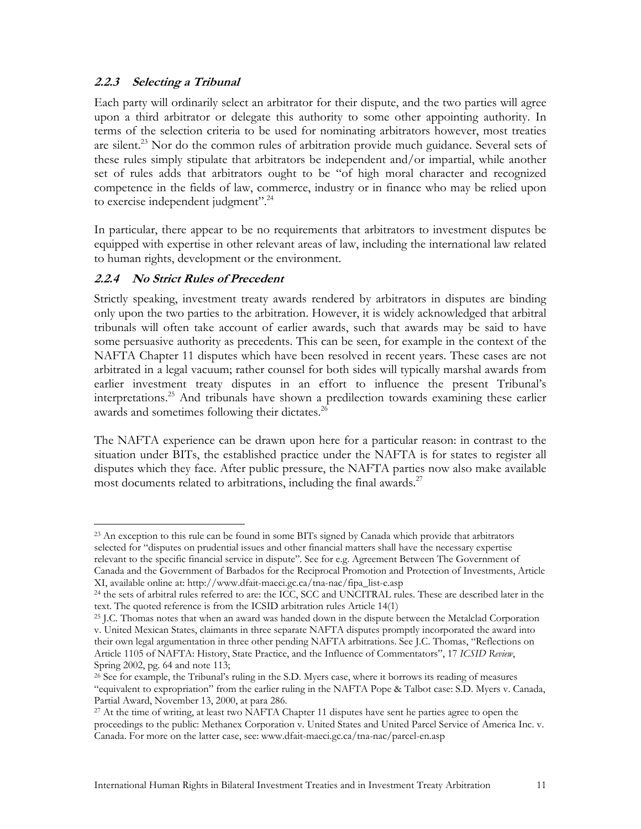#### **2.2.3 Selecting a Tribunal**

Each party will ordinarily select an arbitrator for their dispute, and the two parties will agree upon a third arbitrator or delegate this authority to some other appointing authority. In terms of the selection criteria to be used for nominating arbitrators however, most treaties are silent.<sup>23</sup> Nor do the common rules of arbitration provide much guidance. Several sets of these rules simply stipulate that arbitrators be independent and/or impartial, while another set of rules adds that arbitrators ought to be "of high moral character and recognized competence in the fields of law, commerce, industry or in finance who may be relied upon to exercise independent judgment".<sup>24</sup>

In particular, there appear to be no requirements that arbitrators to investment disputes be equipped with expertise in other relevant areas of law, including the international law related to human rights, development or the environment.

#### **2.2.4 No Strict Rules of Precedent**

Strictly speaking, investment treaty awards rendered by arbitrators in disputes are binding only upon the two parties to the arbitration. However, it is widely acknowledged that arbitral tribunals will often take account of earlier awards, such that awards may be said to have some persuasive authority as precedents. This can be seen, for example in the context of the NAFTA Chapter 11 disputes which have been resolved in recent years. These cases are not arbitrated in a legal vacuum; rather counsel for both sides will typically marshal awards from earlier investment treaty disputes in an effort to influence the present Tribunal's interpretations.25 And tribunals have shown a predilection towards examining these earlier awards and sometimes following their dictates.<sup>26</sup>

The NAFTA experience can be drawn upon here for a particular reason: in contrast to the situation under BITs, the established practice under the NAFTA is for states to register all disputes which they face. After public pressure, the NAFTA parties now also make available most documents related to arbitrations, including the final awards. $27$ 

 $\overline{a}$ <sup>23</sup> An exception to this rule can be found in some BITs signed by Canada which provide that arbitrators selected for "disputes on prudential issues and other financial matters shall have the necessary expertise relevant to the specific financial service in dispute". See for e.g. Agreement Between The Government of Canada and the Government of Barbados for the Reciprocal Promotion and Protection of Investments, Article

XI, available online at: http://www.dfait-maeci.gc.ca/tna-nac/fipa\_list-e.asp 24 the sets of arbitral rules referred to are: the ICC, SCC and UNCITRAL rules. These are described later in the text. The quoted reference is from the ICSID arbitration rules Article 14(1)

<sup>&</sup>lt;sup>25</sup> J.C. Thomas notes that when an award was handed down in the dispute between the Metalclad Corporation v. United Mexican States, claimants in three separate NAFTA disputes promptly incorporated the award into their own legal argumentation in three other pending NAFTA arbitrations. See J.C. Thomas, "Reflections on Article 1105 of NAFTA: History, State Practice, and the Influence of Commentators", 17 *ICSID Review*, Spring 2002, pg. 64 and note 113;

<sup>&</sup>lt;sup>26</sup> See for example, the Tribunal's ruling in the S.D. Myers case, where it borrows its reading of measures "equivalent to expropriation" from the earlier ruling in the NAFTA Pope & Talbot case: S.D. Myers v. Canada,

Partial Award, November 13, 2000, at para 286.<br><sup>27</sup> At the time of writing, at least two NAFTA Chapter 11 disputes have sent he parties agree to open the proceedings to the public: Methanex Corporation v. United States and United Parcel Service of America Inc. v. Canada. For more on the latter case, see: www.dfait-maeci.gc.ca/tna-nac/parcel-en.asp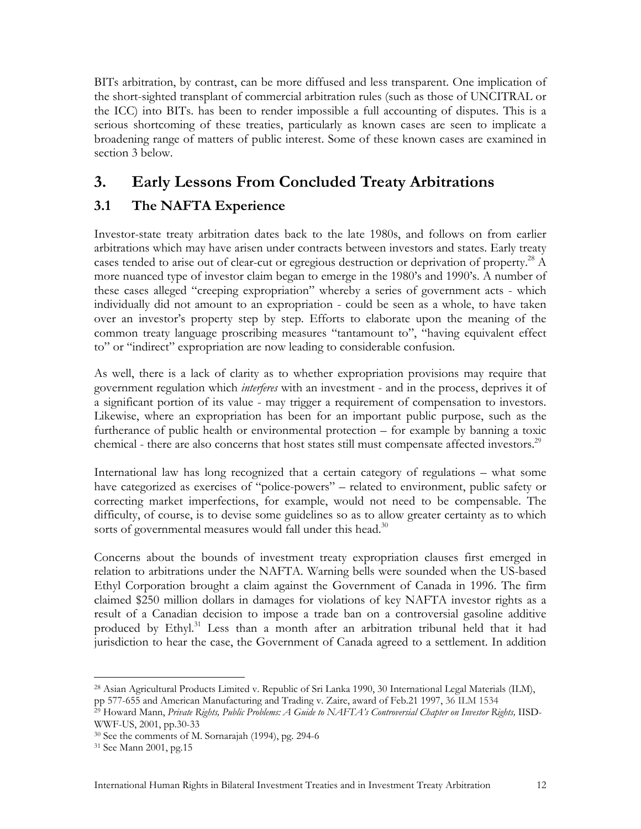BITs arbitration, by contrast, can be more diffused and less transparent. One implication of the short-sighted transplant of commercial arbitration rules (such as those of UNCITRAL or the ICC) into BITs. has been to render impossible a full accounting of disputes. This is a serious shortcoming of these treaties, particularly as known cases are seen to implicate a broadening range of matters of public interest. Some of these known cases are examined in section 3 below.

# **3. Early Lessons From Concluded Treaty Arbitrations**

## **3.1 The NAFTA Experience**

Investor-state treaty arbitration dates back to the late 1980s, and follows on from earlier arbitrations which may have arisen under contracts between investors and states. Early treaty cases tended to arise out of clear-cut or egregious destruction or deprivation of property.<sup>28</sup> A more nuanced type of investor claim began to emerge in the 1980's and 1990's. A number of these cases alleged "creeping expropriation" whereby a series of government acts - which individually did not amount to an expropriation - could be seen as a whole, to have taken over an investor's property step by step. Efforts to elaborate upon the meaning of the common treaty language proscribing measures "tantamount to", "having equivalent effect to" or "indirect" expropriation are now leading to considerable confusion.

As well, there is a lack of clarity as to whether expropriation provisions may require that government regulation which *interferes* with an investment - and in the process, deprives it of a significant portion of its value - may trigger a requirement of compensation to investors. Likewise, where an expropriation has been for an important public purpose, such as the furtherance of public health or environmental protection – for example by banning a toxic chemical - there are also concerns that host states still must compensate affected investors.<sup>29</sup>

International law has long recognized that a certain category of regulations – what some have categorized as exercises of "police-powers" – related to environment, public safety or correcting market imperfections, for example, would not need to be compensable. The difficulty, of course, is to devise some guidelines so as to allow greater certainty as to which sorts of governmental measures would fall under this head. $30$ 

Concerns about the bounds of investment treaty expropriation clauses first emerged in relation to arbitrations under the NAFTA. Warning bells were sounded when the US-based Ethyl Corporation brought a claim against the Government of Canada in 1996. The firm claimed \$250 million dollars in damages for violations of key NAFTA investor rights as a result of a Canadian decision to impose a trade ban on a controversial gasoline additive produced by Ethyl.<sup>31</sup> Less than a month after an arbitration tribunal held that it had jurisdiction to hear the case, the Government of Canada agreed to a settlement. In addition

 $\overline{a}$ 28 Asian Agricultural Products Limited v. Republic of Sri Lanka 1990, 30 International Legal Materials (ILM), pp 577-655 and American Manufacturing and Trading v. Zaire, award of Feb.21 1997, 36 ILM 1534

<sup>29</sup> Howard Mann, *Private Rights, Public Problems: A Guide to NAFTA's Controversial Chapter on Investor Rights,* IISD-WWF-US, 2001, pp.30-33

<sup>30</sup> See the comments of M. Sornarajah (1994), pg. 294-6

<sup>31</sup> See Mann 2001, pg.15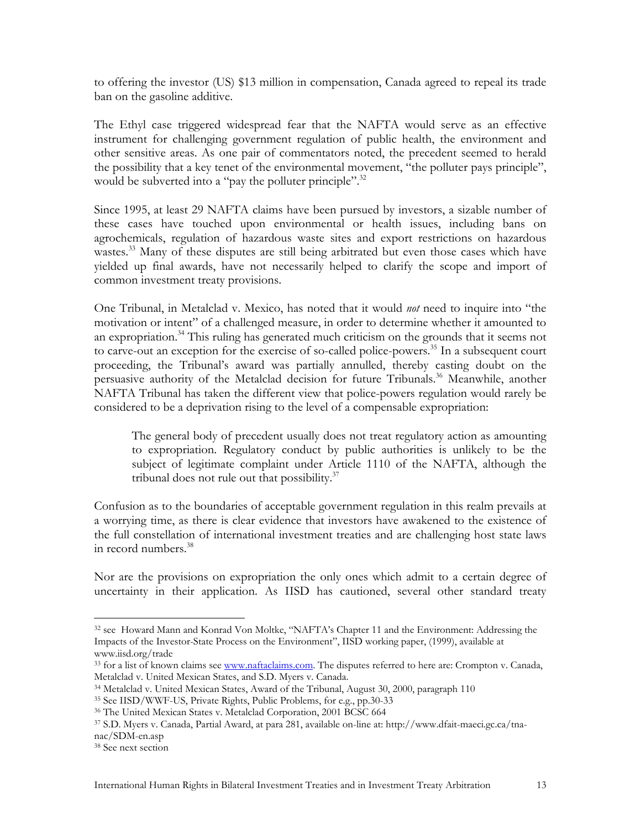to offering the investor (US) \$13 million in compensation, Canada agreed to repeal its trade ban on the gasoline additive.

The Ethyl case triggered widespread fear that the NAFTA would serve as an effective instrument for challenging government regulation of public health, the environment and other sensitive areas. As one pair of commentators noted, the precedent seemed to herald the possibility that a key tenet of the environmental movement, "the polluter pays principle", would be subverted into a "pay the polluter principle".<sup>32</sup>

Since 1995, at least 29 NAFTA claims have been pursued by investors, a sizable number of these cases have touched upon environmental or health issues, including bans on agrochemicals, regulation of hazardous waste sites and export restrictions on hazardous wastes.<sup>33</sup> Many of these disputes are still being arbitrated but even those cases which have yielded up final awards, have not necessarily helped to clarify the scope and import of common investment treaty provisions.

One Tribunal, in Metalclad v. Mexico, has noted that it would *not* need to inquire into "the motivation or intent" of a challenged measure, in order to determine whether it amounted to an expropriation.<sup>34</sup> This ruling has generated much criticism on the grounds that it seems not to carve-out an exception for the exercise of so-called police-powers.<sup>35</sup> In a subsequent court proceeding, the Tribunal's award was partially annulled, thereby casting doubt on the persuasive authority of the Metalclad decision for future Tribunals.<sup>36</sup> Meanwhile, another NAFTA Tribunal has taken the different view that police-powers regulation would rarely be considered to be a deprivation rising to the level of a compensable expropriation:

The general body of precedent usually does not treat regulatory action as amounting to expropriation. Regulatory conduct by public authorities is unlikely to be the subject of legitimate complaint under Article 1110 of the NAFTA, although the tribunal does not rule out that possibility. $37$ 

Confusion as to the boundaries of acceptable government regulation in this realm prevails at a worrying time, as there is clear evidence that investors have awakened to the existence of the full constellation of international investment treaties and are challenging host state laws in record numbers. $^{38}$ 

Nor are the provisions on expropriation the only ones which admit to a certain degree of uncertainty in their application. As IISD has cautioned, several other standard treaty

1

<sup>32</sup> see Howard Mann and Konrad Von Moltke, "NAFTA's Chapter 11 and the Environment: Addressing the Impacts of the Investor-State Process on the Environment", IISD working paper, (1999), available at www.iisd.org/trade

<sup>&</sup>lt;sup>33</sup> for a list of known claims see www.naftaclaims.com. The disputes referred to here are: Crompton v. Canada, Metalclad v. United Mexican States, and S.D. Myers v. Canada.

<sup>&</sup>lt;sup>34</sup> Metalclad v. United Mexican States, Award of the Tribunal, August 30, 2000, paragraph 110<br><sup>35</sup> See IISD/WWF-US, Private Rights, Public Problems, for e.g., pp.30-33<br><sup>36</sup> The United Mexican States v. Metalclad Corporati nac/SDM-en.asp

<sup>38</sup> See next section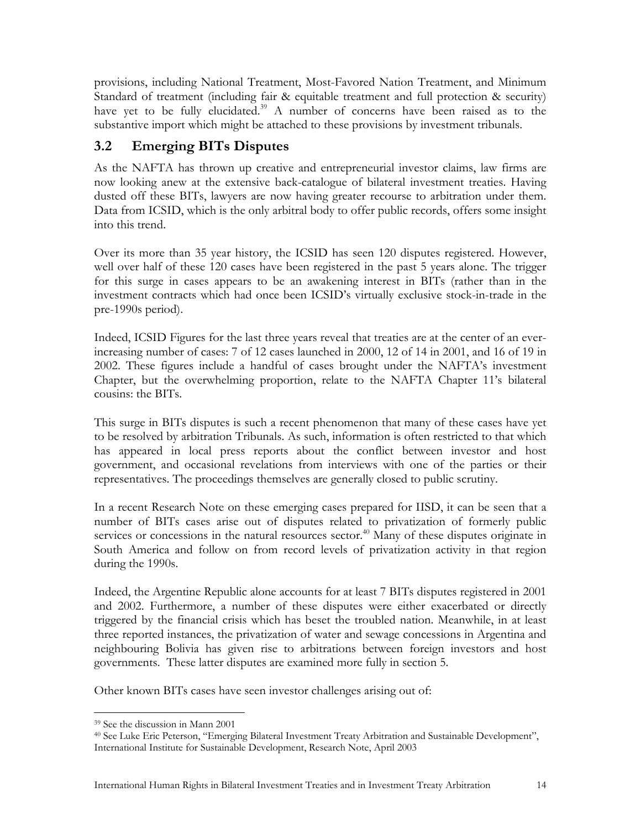provisions, including National Treatment, Most-Favored Nation Treatment, and Minimum Standard of treatment (including fair & equitable treatment and full protection & security) have yet to be fully elucidated.<sup>39</sup> A number of concerns have been raised as to the substantive import which might be attached to these provisions by investment tribunals.

## **3.2 Emerging BITs Disputes**

As the NAFTA has thrown up creative and entrepreneurial investor claims, law firms are now looking anew at the extensive back-catalogue of bilateral investment treaties. Having dusted off these BITs, lawyers are now having greater recourse to arbitration under them. Data from ICSID, which is the only arbitral body to offer public records, offers some insight into this trend.

Over its more than 35 year history, the ICSID has seen 120 disputes registered. However, well over half of these 120 cases have been registered in the past 5 years alone. The trigger for this surge in cases appears to be an awakening interest in BITs (rather than in the investment contracts which had once been ICSID's virtually exclusive stock-in-trade in the pre-1990s period).

Indeed, ICSID Figures for the last three years reveal that treaties are at the center of an everincreasing number of cases: 7 of 12 cases launched in 2000, 12 of 14 in 2001, and 16 of 19 in 2002. These figures include a handful of cases brought under the NAFTA's investment Chapter, but the overwhelming proportion, relate to the NAFTA Chapter 11's bilateral cousins: the BITs.

This surge in BITs disputes is such a recent phenomenon that many of these cases have yet to be resolved by arbitration Tribunals. As such, information is often restricted to that which has appeared in local press reports about the conflict between investor and host government, and occasional revelations from interviews with one of the parties or their representatives. The proceedings themselves are generally closed to public scrutiny.

In a recent Research Note on these emerging cases prepared for IISD, it can be seen that a number of BITs cases arise out of disputes related to privatization of formerly public services or concessions in the natural resources sector.<sup>40</sup> Many of these disputes originate in South America and follow on from record levels of privatization activity in that region during the 1990s.

Indeed, the Argentine Republic alone accounts for at least 7 BITs disputes registered in 2001 and 2002. Furthermore, a number of these disputes were either exacerbated or directly triggered by the financial crisis which has beset the troubled nation. Meanwhile, in at least three reported instances, the privatization of water and sewage concessions in Argentina and neighbouring Bolivia has given rise to arbitrations between foreign investors and host governments. These latter disputes are examined more fully in section 5.

Other known BITs cases have seen investor challenges arising out of:

 $\overline{a}$ 39 See the discussion in Mann 2001

<sup>40</sup> See Luke Eric Peterson, "Emerging Bilateral Investment Treaty Arbitration and Sustainable Development", International Institute for Sustainable Development, Research Note, April 2003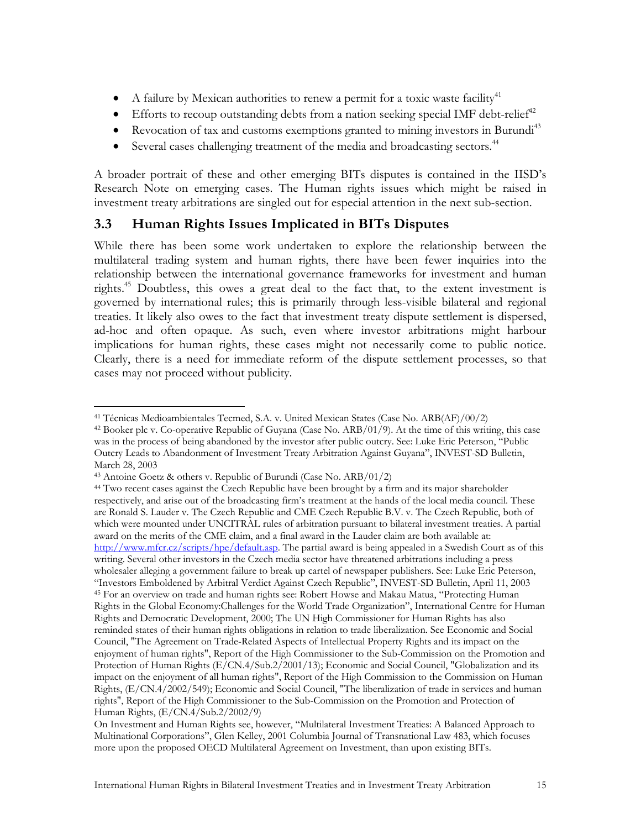- A failure by Mexican authorities to renew a permit for a toxic waste facility<sup>41</sup>
- Efforts to recoup outstanding debts from a nation seeking special IMF debt-relief<sup>42</sup>
- Revocation of tax and customs exemptions granted to mining investors in Burundi<sup>43</sup>
- Several cases challenging treatment of the media and broadcasting sectors.<sup>44</sup>

A broader portrait of these and other emerging BITs disputes is contained in the IISD's Research Note on emerging cases. The Human rights issues which might be raised in investment treaty arbitrations are singled out for especial attention in the next sub-section.

## **3.3 Human Rights Issues Implicated in BITs Disputes**

While there has been some work undertaken to explore the relationship between the multilateral trading system and human rights, there have been fewer inquiries into the relationship between the international governance frameworks for investment and human rights.45 Doubtless, this owes a great deal to the fact that, to the extent investment is governed by international rules; this is primarily through less-visible bilateral and regional treaties. It likely also owes to the fact that investment treaty dispute settlement is dispersed, ad-hoc and often opaque. As such, even where investor arbitrations might harbour implications for human rights, these cases might not necessarily come to public notice. Clearly, there is a need for immediate reform of the dispute settlement processes, so that cases may not proceed without publicity.

 $\overline{a}$ 

<sup>&</sup>lt;sup>41</sup> Técnicas Medioambientales Tecmed, S.A. v. United Mexican States (Case No. ARB(AF)/00/2) <sup>42</sup> Booker plc v. Co-operative Republic of Guyana (Case No. ARB/01/9). At the time of this writing, this case was in the process of being abandoned by the investor after public outcry. See: Luke Eric Peterson, "Public Outcry Leads to Abandonment of Investment Treaty Arbitration Against Guyana", INVEST-SD Bulletin, March 28, 2003

<sup>43</sup> Antoine Goetz & others v. Republic of Burundi (Case No. ARB/01/2)

<sup>&</sup>lt;sup>44</sup> Two recent cases against the Czech Republic have been brought by a firm and its major shareholder respectively, and arise out of the broadcasting firm's treatment at the hands of the local media council. These are Ronald S. Lauder v. The Czech Republic and CME Czech Republic B.V. v. The Czech Republic, both of which were mounted under UNCITRAL rules of arbitration pursuant to bilateral investment treaties. A partial award on the merits of the CME claim, and a final award in the Lauder claim are both available at: http://www.mfcr.cz/scripts/hpe/default.asp. The partial award is being appealed in a Swedish Court as of this writing. Several other investors in the Czech media sector have threatened arbitrations including a press wholesaler alleging a government failure to break up cartel of newspaper publishers. See: Luke Eric Peterson, "Investors Emboldened by Arbitral Verdict Against Czech Republic", INVEST-SD Bulletin, April 11, 2003 45 For an overview on trade and human rights see: Robert Howse and Makau Matua, "Protecting Human Rights in the Global Economy:Challenges for the World Trade Organization", International Centre for Human Rights and Democratic Development, 2000; The UN High Commissioner for Human Rights has also reminded states of their human rights obligations in relation to trade liberalization. See Economic and Social Council, "The Agreement on Trade-Related Aspects of Intellectual Property Rights and its impact on the enjoyment of human rights", Report of the High Commissioner to the Sub-Commission on the Promotion and Protection of Human Rights (E/CN.4/Sub.2/2001/13); Economic and Social Council, "Globalization and its impact on the enjoyment of all human rights", Report of the High Commission to the Commission on Human Rights, (E/CN.4/2002/549); Economic and Social Council, "The liberalization of trade in services and human rights", Report of the High Commissioner to the Sub-Commission on the Promotion and Protection of Human Rights, (E/CN.4/Sub.2/2002/9)

On Investment and Human Rights see, however, "Multilateral Investment Treaties: A Balanced Approach to Multinational Corporations", Glen Kelley, 2001 Columbia Journal of Transnational Law 483, which focuses more upon the proposed OECD Multilateral Agreement on Investment, than upon existing BITs.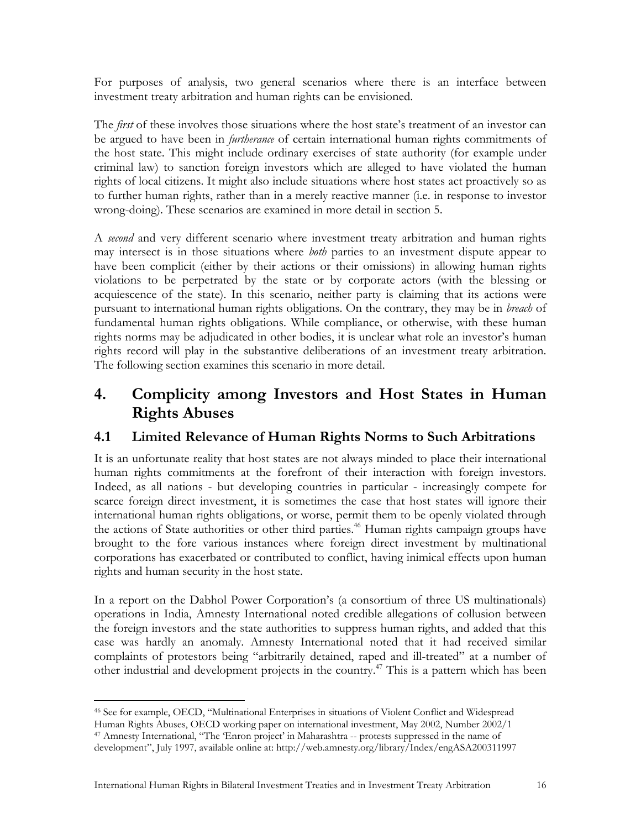For purposes of analysis, two general scenarios where there is an interface between investment treaty arbitration and human rights can be envisioned.

The *first* of these involves those situations where the host state's treatment of an investor can be argued to have been in *furtherance* of certain international human rights commitments of the host state. This might include ordinary exercises of state authority (for example under criminal law) to sanction foreign investors which are alleged to have violated the human rights of local citizens. It might also include situations where host states act proactively so as to further human rights, rather than in a merely reactive manner (i.e. in response to investor wrong-doing). These scenarios are examined in more detail in section 5.

A *second* and very different scenario where investment treaty arbitration and human rights may intersect is in those situations where *both* parties to an investment dispute appear to have been complicit (either by their actions or their omissions) in allowing human rights violations to be perpetrated by the state or by corporate actors (with the blessing or acquiescence of the state). In this scenario, neither party is claiming that its actions were pursuant to international human rights obligations. On the contrary, they may be in *breach* of fundamental human rights obligations. While compliance, or otherwise, with these human rights norms may be adjudicated in other bodies, it is unclear what role an investor's human rights record will play in the substantive deliberations of an investment treaty arbitration. The following section examines this scenario in more detail.

# **4. Complicity among Investors and Host States in Human Rights Abuses**

#### **4.1 Limited Relevance of Human Rights Norms to Such Arbitrations**

It is an unfortunate reality that host states are not always minded to place their international human rights commitments at the forefront of their interaction with foreign investors. Indeed, as all nations - but developing countries in particular - increasingly compete for scarce foreign direct investment, it is sometimes the case that host states will ignore their international human rights obligations, or worse, permit them to be openly violated through the actions of State authorities or other third parties.<sup>46</sup> Human rights campaign groups have brought to the fore various instances where foreign direct investment by multinational corporations has exacerbated or contributed to conflict, having inimical effects upon human rights and human security in the host state.

In a report on the Dabhol Power Corporation's (a consortium of three US multinationals) operations in India, Amnesty International noted credible allegations of collusion between the foreign investors and the state authorities to suppress human rights, and added that this case was hardly an anomaly. Amnesty International noted that it had received similar complaints of protestors being "arbitrarily detained, raped and ill-treated" at a number of other industrial and development projects in the country.47 This is a pattern which has been

 $\overline{a}$ 46 See for example, OECD, "Multinational Enterprises in situations of Violent Conflict and Widespread Human Rights Abuses, OECD working paper on international investment, May 2002, Number 2002/1 47 Amnesty International, "The 'Enron project' in Maharashtra -- protests suppressed in the name of development", July 1997, available online at: http://web.amnesty.org/library/Index/engASA200311997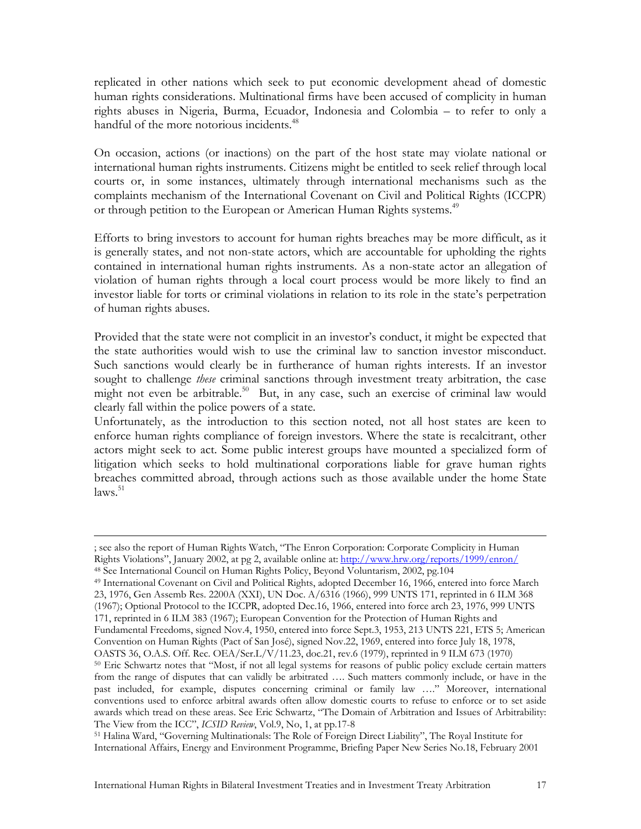replicated in other nations which seek to put economic development ahead of domestic human rights considerations. Multinational firms have been accused of complicity in human rights abuses in Nigeria, Burma, Ecuador, Indonesia and Colombia – to refer to only a handful of the more notorious incidents.<sup>48</sup>

On occasion, actions (or inactions) on the part of the host state may violate national or international human rights instruments. Citizens might be entitled to seek relief through local courts or, in some instances, ultimately through international mechanisms such as the complaints mechanism of the International Covenant on Civil and Political Rights (ICCPR) or through petition to the European or American Human Rights systems.<sup>49</sup>

Efforts to bring investors to account for human rights breaches may be more difficult, as it is generally states, and not non-state actors, which are accountable for upholding the rights contained in international human rights instruments. As a non-state actor an allegation of violation of human rights through a local court process would be more likely to find an investor liable for torts or criminal violations in relation to its role in the state's perpetration of human rights abuses.

Provided that the state were not complicit in an investor's conduct, it might be expected that the state authorities would wish to use the criminal law to sanction investor misconduct. Such sanctions would clearly be in furtherance of human rights interests. If an investor sought to challenge *these* criminal sanctions through investment treaty arbitration, the case might not even be arbitrable.<sup>50</sup> But, in any case, such an exercise of criminal law would clearly fall within the police powers of a state.

Unfortunately, as the introduction to this section noted, not all host states are keen to enforce human rights compliance of foreign investors. Where the state is recalcitrant, other actors might seek to act. Some public interest groups have mounted a specialized form of litigation which seeks to hold multinational corporations liable for grave human rights breaches committed abroad, through actions such as those available under the home State  $\text{laws}$ .  $51$ 

1

The View from the ICC", *ICSID Review*, Vol.9, No, 1, at pp.17-8<br><sup>51</sup> Halina Ward, "Governing Multinationals: The Role of Foreign Direct Liability", The Royal Institute for International Affairs, Energy and Environment Programme, Briefing Paper New Series No.18, February 2001

<sup>;</sup> see also the report of Human Rights Watch, "The Enron Corporation: Corporate Complicity in Human Rights Violations", January 2002, at pg 2, available online at: http://www.hrw.org/reports/1999/enron/

<sup>&</sup>lt;sup>48</sup> See International Council on Human Rights Policy, Beyond Voluntarism, 2002, pg. 104<br><sup>49</sup> International Covenant on Civil and Political Rights, adopted December 16, 1966, entered into force March 23, 1976, Gen Assemb Res. 2200A (XXI), UN Doc. A/6316 (1966), 999 UNTS 171, reprinted in 6 ILM 368 (1967); Optional Protocol to the ICCPR, adopted Dec.16, 1966, entered into force arch 23, 1976, 999 UNTS 171, reprinted in 6 ILM 383 (1967); European Convention for the Protection of Human Rights and Fundamental Freedoms, signed Nov.4, 1950, entered into force Sept.3, 1953, 213 UNTS 221, ETS 5; American Convention on Human Rights (Pact of San José), signed Nov.22, 1969, entered into force July 18, 1978, <sup>50</sup> Eric Schwartz notes that "Most, if not all legal systems for reasons of public policy exclude certain matters from the range of disputes that can validly be arbitrated …. Such matters commonly include, or have in the past included, for example, disputes concerning criminal or family law …." Moreover, international conventions used to enforce arbitral awards often allow domestic courts to refuse to enforce or to set aside

awards which tread on these areas. See Eric Schwartz, "The Domain of Arbitration and Issues of Arbitrability: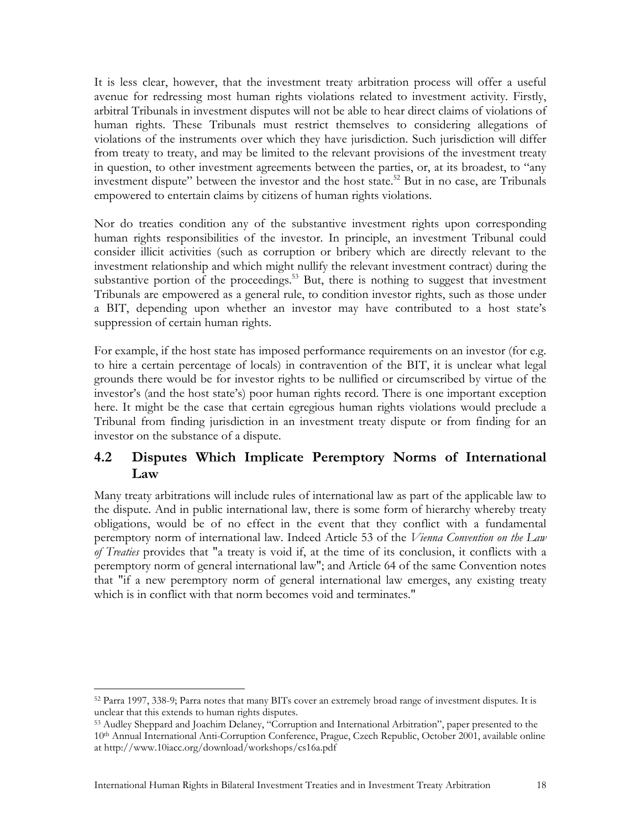It is less clear, however, that the investment treaty arbitration process will offer a useful avenue for redressing most human rights violations related to investment activity. Firstly, arbitral Tribunals in investment disputes will not be able to hear direct claims of violations of human rights. These Tribunals must restrict themselves to considering allegations of violations of the instruments over which they have jurisdiction. Such jurisdiction will differ from treaty to treaty, and may be limited to the relevant provisions of the investment treaty in question, to other investment agreements between the parties, or, at its broadest, to "any investment dispute" between the investor and the host state.<sup>52</sup> But in no case, are Tribunals empowered to entertain claims by citizens of human rights violations.

Nor do treaties condition any of the substantive investment rights upon corresponding human rights responsibilities of the investor. In principle, an investment Tribunal could consider illicit activities (such as corruption or bribery which are directly relevant to the investment relationship and which might nullify the relevant investment contract) during the substantive portion of the proceedings.<sup>53</sup> But, there is nothing to suggest that investment Tribunals are empowered as a general rule, to condition investor rights, such as those under a BIT, depending upon whether an investor may have contributed to a host state's suppression of certain human rights.

For example, if the host state has imposed performance requirements on an investor (for e.g. to hire a certain percentage of locals) in contravention of the BIT, it is unclear what legal grounds there would be for investor rights to be nullified or circumscribed by virtue of the investor's (and the host state's) poor human rights record. There is one important exception here. It might be the case that certain egregious human rights violations would preclude a Tribunal from finding jurisdiction in an investment treaty dispute or from finding for an investor on the substance of a dispute.

#### **4.2 Disputes Which Implicate Peremptory Norms of International Law**

Many treaty arbitrations will include rules of international law as part of the applicable law to the dispute. And in public international law, there is some form of hierarchy whereby treaty obligations, would be of no effect in the event that they conflict with a fundamental peremptory norm of international law. Indeed Article 53 of the *Vienna Convention on the Law of Treaties* provides that "a treaty is void if, at the time of its conclusion, it conflicts with a peremptory norm of general international law"; and Article 64 of the same Convention notes that "if a new peremptory norm of general international law emerges, any existing treaty which is in conflict with that norm becomes void and terminates."

<sup>52</sup> Parra 1997, 338-9; Parra notes that many BITs cover an extremely broad range of investment disputes. It is unclear that this extends to human rights disputes.

<sup>53</sup> Audley Sheppard and Joachim Delaney, "Corruption and International Arbitration", paper presented to the 10th Annual International Anti-Corruption Conference, Prague, Czech Republic, October 2001, available online at http://www.10iacc.org/download/workshops/cs16a.pdf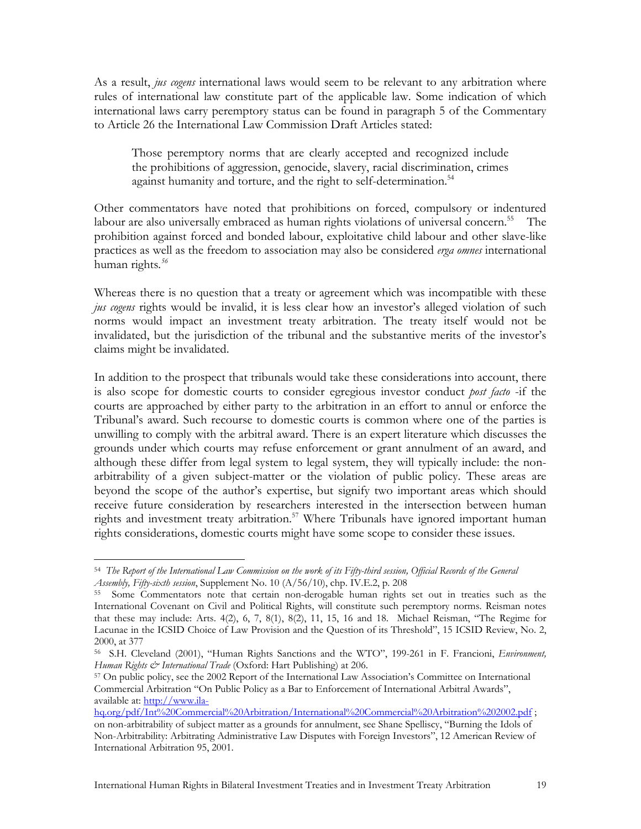As a result, *jus cogens* international laws would seem to be relevant to any arbitration where rules of international law constitute part of the applicable law. Some indication of which international laws carry peremptory status can be found in paragraph 5 of the Commentary to Article 26 the International Law Commission Draft Articles stated:

Those peremptory norms that are clearly accepted and recognized include the prohibitions of aggression, genocide, slavery, racial discrimination, crimes against humanity and torture, and the right to self-determination.<sup>54</sup>

Other commentators have noted that prohibitions on forced, compulsory or indentured labour are also universally embraced as human rights violations of universal concern.<sup>55</sup> The prohibition against forced and bonded labour, exploitative child labour and other slave-like practices as well as the freedom to association may also be considered *erga omnes* international human rights*. 56*

Whereas there is no question that a treaty or agreement which was incompatible with these *jus cogens* rights would be invalid, it is less clear how an investor's alleged violation of such norms would impact an investment treaty arbitration. The treaty itself would not be invalidated, but the jurisdiction of the tribunal and the substantive merits of the investor's claims might be invalidated.

In addition to the prospect that tribunals would take these considerations into account, there is also scope for domestic courts to consider egregious investor conduct *post facto* -if the courts are approached by either party to the arbitration in an effort to annul or enforce the Tribunal's award. Such recourse to domestic courts is common where one of the parties is unwilling to comply with the arbitral award. There is an expert literature which discusses the grounds under which courts may refuse enforcement or grant annulment of an award, and although these differ from legal system to legal system, they will typically include: the nonarbitrability of a given subject-matter or the violation of public policy. These areas are beyond the scope of the author's expertise, but signify two important areas which should receive future consideration by researchers interested in the intersection between human rights and investment treaty arbitration.<sup>57</sup> Where Tribunals have ignored important human rights considerations, domestic courts might have some scope to consider these issues.

1

<sup>54</sup> *The Report of the International Law Commission on the work of its Fifty-third session, Official Records of the General* 

<sup>&</sup>lt;sup>55</sup> Some Commentators note that certain non-derogable human rights set out in treaties such as the International Covenant on Civil and Political Rights, will constitute such peremptory norms. Reisman notes that these may include: Arts. 4(2), 6, 7, 8(1), 8(2), 11, 15, 16 and 18. Michael Reisman, "The Regime for Lacunae in the ICSID Choice of Law Provision and the Question of its Threshold", 15 ICSID Review, No. 2, 2000, at 377

<sup>56</sup> S.H. Cleveland (2001), "Human Rights Sanctions and the WTO", 199-261 in F. Francioni, *Environment, Human Rights & International Trade* (Oxford: Hart Publishing) at 206.<br><sup>57</sup> On public policy, see the 2002 Report of the International Law Association's Committee on International

Commercial Arbitration "On Public Policy as a Bar to Enforcement of International Arbitral Awards", available at: http://www.ila-

hq.org/pdf/Int%20Commercial%20Arbitration/International%20Commercial%20Arbitration%202002.pdf ; on non-arbitrability of subject matter as a grounds for annulment, see Shane Spelliscy, "Burning the Idols of Non-Arbitrability: Arbitrating Administrative Law Disputes with Foreign Investors", 12 American Review of International Arbitration 95, 2001.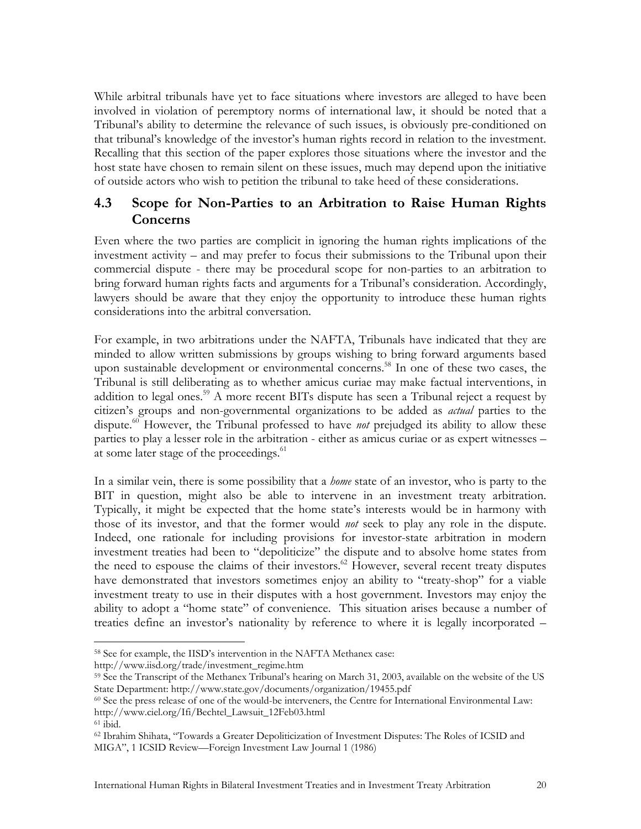While arbitral tribunals have yet to face situations where investors are alleged to have been involved in violation of peremptory norms of international law, it should be noted that a Tribunal's ability to determine the relevance of such issues, is obviously pre-conditioned on that tribunal's knowledge of the investor's human rights record in relation to the investment. Recalling that this section of the paper explores those situations where the investor and the host state have chosen to remain silent on these issues, much may depend upon the initiative of outside actors who wish to petition the tribunal to take heed of these considerations.

### **4.3 Scope for Non-Parties to an Arbitration to Raise Human Rights Concerns**

Even where the two parties are complicit in ignoring the human rights implications of the investment activity – and may prefer to focus their submissions to the Tribunal upon their commercial dispute - there may be procedural scope for non-parties to an arbitration to bring forward human rights facts and arguments for a Tribunal's consideration. Accordingly, lawyers should be aware that they enjoy the opportunity to introduce these human rights considerations into the arbitral conversation.

For example, in two arbitrations under the NAFTA, Tribunals have indicated that they are minded to allow written submissions by groups wishing to bring forward arguments based upon sustainable development or environmental concerns.<sup>58</sup> In one of these two cases, the Tribunal is still deliberating as to whether amicus curiae may make factual interventions, in addition to legal ones.<sup>59</sup> A more recent BITs dispute has seen a Tribunal reject a request by citizen's groups and non-governmental organizations to be added as *actual* parties to the dispute.<sup>60</sup> However, the Tribunal professed to have *not* prejudged its ability to allow these parties to play a lesser role in the arbitration - either as amicus curiae or as expert witnesses – at some later stage of the proceedings.<sup>61</sup>

In a similar vein, there is some possibility that a *home* state of an investor, who is party to the BIT in question, might also be able to intervene in an investment treaty arbitration. Typically, it might be expected that the home state's interests would be in harmony with those of its investor, and that the former would *not* seek to play any role in the dispute. Indeed, one rationale for including provisions for investor-state arbitration in modern investment treaties had been to "depoliticize" the dispute and to absolve home states from the need to espouse the claims of their investors.<sup>62</sup> However, several recent treaty disputes have demonstrated that investors sometimes enjoy an ability to "treaty-shop" for a viable investment treaty to use in their disputes with a host government. Investors may enjoy the ability to adopt a "home state" of convenience. This situation arises because a number of treaties define an investor's nationality by reference to where it is legally incorporated –

1

<sup>58</sup> See for example, the IISD's intervention in the NAFTA Methanex case:

http://www.iisd.org/trade/investment\_regime.htm<br><sup>59</sup> See the Transcript of the Methanex Tribunal's hearing on March 31, 2003, available on the website of the US State Department: http://www.state.gov/documents/organization/19455.pdf<br><sup>60</sup> See the press release of one of the would-be interveners, the Centre for International Environmental Law:

http://www.ciel.org/Ifi/Bechtel\_Lawsuit\_12Feb03.html<br><sup>61</sup> ibid.

<sup>62</sup> Ibrahim Shihata, "Towards a Greater Depoliticization of Investment Disputes: The Roles of ICSID and MIGA", 1 ICSID Review—Foreign Investment Law Journal 1 (1986)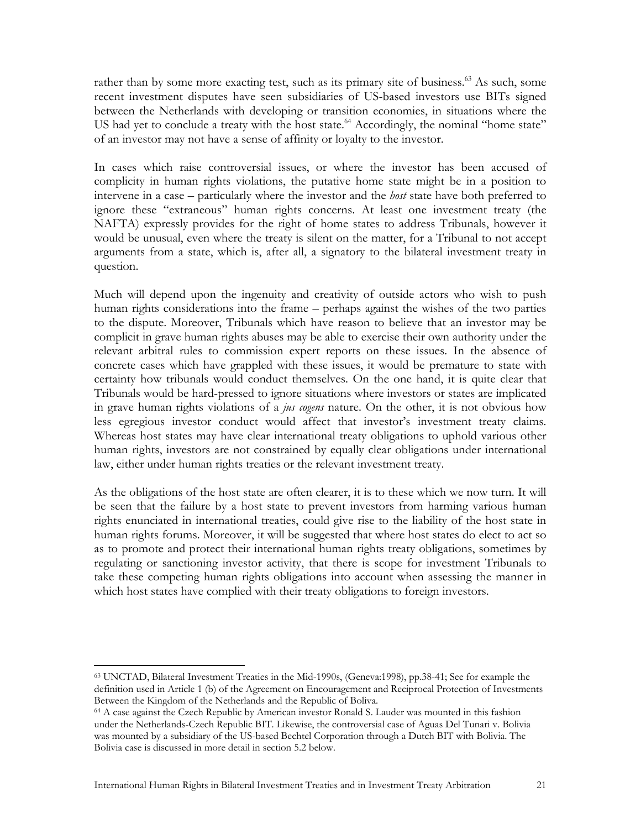rather than by some more exacting test, such as its primary site of business.<sup>63</sup> As such, some recent investment disputes have seen subsidiaries of US-based investors use BITs signed between the Netherlands with developing or transition economies, in situations where the US had yet to conclude a treaty with the host state.<sup>64</sup> Accordingly, the nominal "home state" of an investor may not have a sense of affinity or loyalty to the investor.

In cases which raise controversial issues, or where the investor has been accused of complicity in human rights violations, the putative home state might be in a position to intervene in a case – particularly where the investor and the *host* state have both preferred to ignore these "extraneous" human rights concerns. At least one investment treaty (the NAFTA) expressly provides for the right of home states to address Tribunals, however it would be unusual, even where the treaty is silent on the matter, for a Tribunal to not accept arguments from a state, which is, after all, a signatory to the bilateral investment treaty in question.

Much will depend upon the ingenuity and creativity of outside actors who wish to push human rights considerations into the frame – perhaps against the wishes of the two parties to the dispute. Moreover, Tribunals which have reason to believe that an investor may be complicit in grave human rights abuses may be able to exercise their own authority under the relevant arbitral rules to commission expert reports on these issues. In the absence of concrete cases which have grappled with these issues, it would be premature to state with certainty how tribunals would conduct themselves. On the one hand, it is quite clear that Tribunals would be hard-pressed to ignore situations where investors or states are implicated in grave human rights violations of a *jus cogens* nature. On the other, it is not obvious how less egregious investor conduct would affect that investor's investment treaty claims. Whereas host states may have clear international treaty obligations to uphold various other human rights, investors are not constrained by equally clear obligations under international law, either under human rights treaties or the relevant investment treaty.

As the obligations of the host state are often clearer, it is to these which we now turn. It will be seen that the failure by a host state to prevent investors from harming various human rights enunciated in international treaties, could give rise to the liability of the host state in human rights forums. Moreover, it will be suggested that where host states do elect to act so as to promote and protect their international human rights treaty obligations, sometimes by regulating or sanctioning investor activity, that there is scope for investment Tribunals to take these competing human rights obligations into account when assessing the manner in which host states have complied with their treaty obligations to foreign investors.

<sup>63</sup> UNCTAD, Bilateral Investment Treaties in the Mid-1990s, (Geneva:1998), pp.38-41; See for example the definition used in Article 1 (b) of the Agreement on Encouragement and Reciprocal Protection of Investments Between the Kingdom of the Netherlands and the Republic of Boliva.

<sup>64</sup> A case against the Czech Republic by American investor Ronald S. Lauder was mounted in this fashion under the Netherlands-Czech Republic BIT. Likewise, the controversial case of Aguas Del Tunari v. Bolivia was mounted by a subsidiary of the US-based Bechtel Corporation through a Dutch BIT with Bolivia. The Bolivia case is discussed in more detail in section 5.2 below.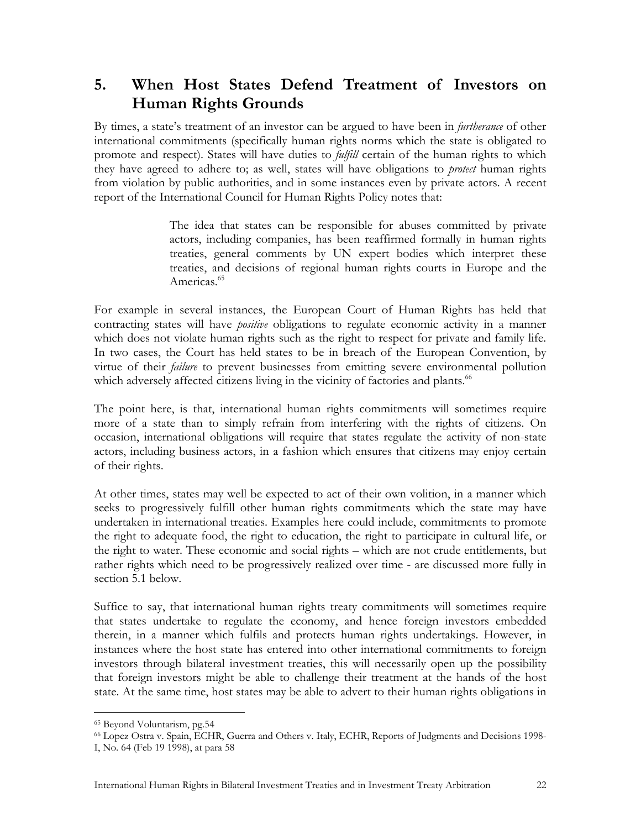# **5. When Host States Defend Treatment of Investors on Human Rights Grounds**

By times, a state's treatment of an investor can be argued to have been in *furtherance* of other international commitments (specifically human rights norms which the state is obligated to promote and respect). States will have duties to *fulfill* certain of the human rights to which they have agreed to adhere to; as well, states will have obligations to *protect* human rights from violation by public authorities, and in some instances even by private actors. A recent report of the International Council for Human Rights Policy notes that:

> The idea that states can be responsible for abuses committed by private actors, including companies, has been reaffirmed formally in human rights treaties, general comments by UN expert bodies which interpret these treaties, and decisions of regional human rights courts in Europe and the Americas.<sup>65</sup>

For example in several instances, the European Court of Human Rights has held that contracting states will have *positive* obligations to regulate economic activity in a manner which does not violate human rights such as the right to respect for private and family life. In two cases, the Court has held states to be in breach of the European Convention, by virtue of their *failure* to prevent businesses from emitting severe environmental pollution which adversely affected citizens living in the vicinity of factories and plants.<sup>66</sup>

The point here, is that, international human rights commitments will sometimes require more of a state than to simply refrain from interfering with the rights of citizens. On occasion, international obligations will require that states regulate the activity of non-state actors, including business actors, in a fashion which ensures that citizens may enjoy certain of their rights.

At other times, states may well be expected to act of their own volition, in a manner which seeks to progressively fulfill other human rights commitments which the state may have undertaken in international treaties. Examples here could include, commitments to promote the right to adequate food, the right to education, the right to participate in cultural life, or the right to water. These economic and social rights – which are not crude entitlements, but rather rights which need to be progressively realized over time - are discussed more fully in section 5.1 below.

Suffice to say, that international human rights treaty commitments will sometimes require that states undertake to regulate the economy, and hence foreign investors embedded therein, in a manner which fulfils and protects human rights undertakings. However, in instances where the host state has entered into other international commitments to foreign investors through bilateral investment treaties, this will necessarily open up the possibility that foreign investors might be able to challenge their treatment at the hands of the host state. At the same time, host states may be able to advert to their human rights obligations in

<sup>65</sup> Beyond Voluntarism, pg.54

<sup>66</sup> Lopez Ostra v. Spain, ECHR, Guerra and Others v. Italy, ECHR, Reports of Judgments and Decisions 1998-

I, No. 64 (Feb 19 1998), at para 58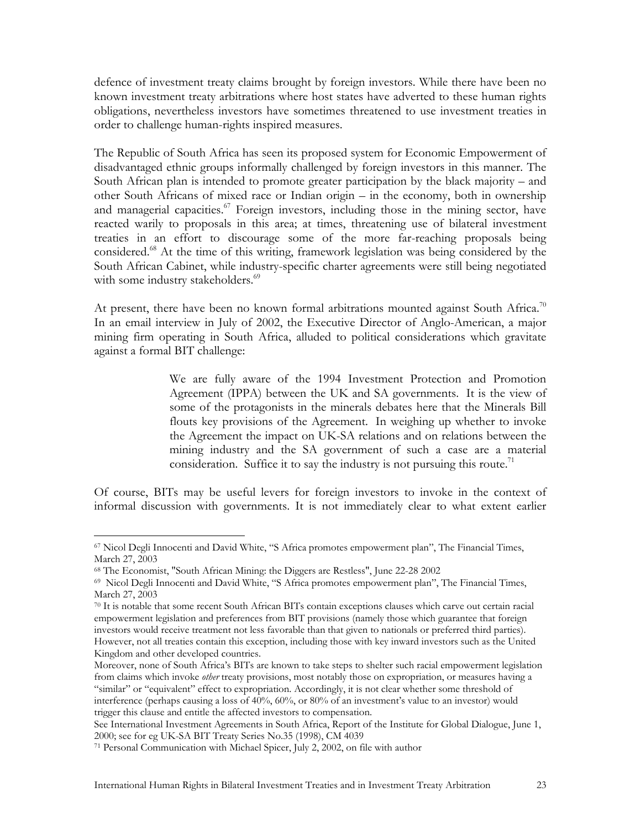defence of investment treaty claims brought by foreign investors. While there have been no known investment treaty arbitrations where host states have adverted to these human rights obligations, nevertheless investors have sometimes threatened to use investment treaties in order to challenge human-rights inspired measures.

The Republic of South Africa has seen its proposed system for Economic Empowerment of disadvantaged ethnic groups informally challenged by foreign investors in this manner. The South African plan is intended to promote greater participation by the black majority – and other South Africans of mixed race or Indian origin – in the economy, both in ownership and managerial capacities.<sup>67</sup> Foreign investors, including those in the mining sector, have reacted warily to proposals in this area; at times, threatening use of bilateral investment treaties in an effort to discourage some of the more far-reaching proposals being considered.68 At the time of this writing, framework legislation was being considered by the South African Cabinet, while industry-specific charter agreements were still being negotiated with some industry stakeholders.<sup>69</sup>

At present, there have been no known formal arbitrations mounted against South Africa.<sup>70</sup> In an email interview in July of 2002, the Executive Director of Anglo-American, a major mining firm operating in South Africa, alluded to political considerations which gravitate against a formal BIT challenge:

> We are fully aware of the 1994 Investment Protection and Promotion Agreement (IPPA) between the UK and SA governments. It is the view of some of the protagonists in the minerals debates here that the Minerals Bill flouts key provisions of the Agreement. In weighing up whether to invoke the Agreement the impact on UK-SA relations and on relations between the mining industry and the SA government of such a case are a material consideration. Suffice it to say the industry is not pursuing this route.<sup>71</sup>

Of course, BITs may be useful levers for foreign investors to invoke in the context of informal discussion with governments. It is not immediately clear to what extent earlier

<sup>67</sup> Nicol Degli Innocenti and David White, "S Africa promotes empowerment plan", The Financial Times, March 27, 2003<br><sup>68</sup> The Economist, "South African Mining: the Diggers are Restless", June 22-28 2002

 $69$  Nicol Degli Innocenti and David White, "S Africa promotes empowerment plan", The Financial Times, March 27, 2003

<sup>70</sup> It is notable that some recent South African BITs contain exceptions clauses which carve out certain racial empowerment legislation and preferences from BIT provisions (namely those which guarantee that foreign investors would receive treatment not less favorable than that given to nationals or preferred third parties). However, not all treaties contain this exception, including those with key inward investors such as the United Kingdom and other developed countries.

Moreover, none of South Africa's BITs are known to take steps to shelter such racial empowerment legislation from claims which invoke *other* treaty provisions, most notably those on expropriation, or measures having a "similar" or "equivalent" effect to expropriation. Accordingly, it is not clear whether some threshold of interference (perhaps causing a loss of 40%, 60%, or 80% of an investment's value to an investor) would trigger this clause and entitle the affected investors to compensation.

See International Investment Agreements in South Africa, Report of the Institute for Global Dialogue, June 1, 2000; see for eg UK-SA BIT Treaty Series No.35 (1998), CM 4039 71 Personal Communication with Michael Spicer, July 2, 2002, on file with author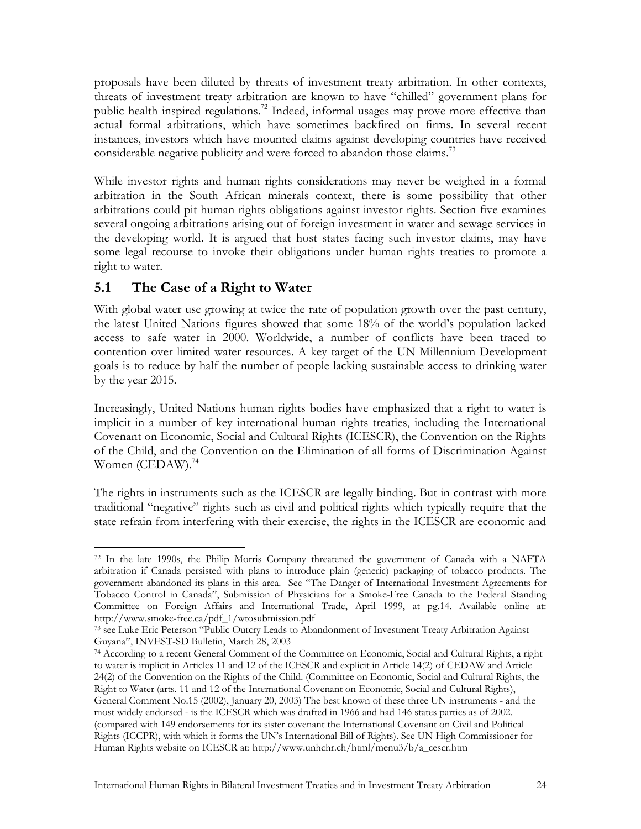proposals have been diluted by threats of investment treaty arbitration. In other contexts, threats of investment treaty arbitration are known to have "chilled" government plans for public health inspired regulations.<sup>72</sup> Indeed, informal usages may prove more effective than actual formal arbitrations, which have sometimes backfired on firms. In several recent instances, investors which have mounted claims against developing countries have received considerable negative publicity and were forced to abandon those claims.<sup>73</sup>

While investor rights and human rights considerations may never be weighed in a formal arbitration in the South African minerals context, there is some possibility that other arbitrations could pit human rights obligations against investor rights. Section five examines several ongoing arbitrations arising out of foreign investment in water and sewage services in the developing world. It is argued that host states facing such investor claims, may have some legal recourse to invoke their obligations under human rights treaties to promote a right to water.

## **5.1 The Case of a Right to Water**

With global water use growing at twice the rate of population growth over the past century, the latest United Nations figures showed that some 18% of the world's population lacked access to safe water in 2000. Worldwide, a number of conflicts have been traced to contention over limited water resources. A key target of the UN Millennium Development goals is to reduce by half the number of people lacking sustainable access to drinking water by the year 2015.

Increasingly, United Nations human rights bodies have emphasized that a right to water is implicit in a number of key international human rights treaties, including the International Covenant on Economic, Social and Cultural Rights (ICESCR), the Convention on the Rights of the Child, and the Convention on the Elimination of all forms of Discrimination Against Women (CEDAW). $^{74}$ 

The rights in instruments such as the ICESCR are legally binding. But in contrast with more traditional "negative" rights such as civil and political rights which typically require that the state refrain from interfering with their exercise, the rights in the ICESCR are economic and

<sup>1</sup> 72 In the late 1990s, the Philip Morris Company threatened the government of Canada with a NAFTA arbitration if Canada persisted with plans to introduce plain (generic) packaging of tobacco products. The government abandoned its plans in this area. See "The Danger of International Investment Agreements for Tobacco Control in Canada", Submission of Physicians for a Smoke-Free Canada to the Federal Standing Committee on Foreign Affairs and International Trade, April 1999, at pg.14. Available online at:

<sup>&</sup>lt;sup>73</sup> see Luke Eric Peterson "Public Outcry Leads to Abandonment of Investment Treaty Arbitration Against Guyana", INVEST-SD Bulletin, March 28, 2003<br><sup>74</sup> According to a recent General Comment of the Committee on Economic, Social and Cultural Rights, a right

to water is implicit in Articles 11 and 12 of the ICESCR and explicit in Article 14(2) of CEDAW and Article 24(2) of the Convention on the Rights of the Child. (Committee on Economic, Social and Cultural Rights, the Right to Water (arts. 11 and 12 of the International Covenant on Economic, Social and Cultural Rights), General Comment No.15 (2002), January 20, 2003) The best known of these three UN instruments - and the most widely endorsed - is the ICESCR which was drafted in 1966 and had 146 states parties as of 2002. (compared with 149 endorsements for its sister covenant the International Covenant on Civil and Political Rights (ICCPR), with which it forms the UN's International Bill of Rights). See UN High Commissioner for Human Rights website on ICESCR at: http://www.unhchr.ch/html/menu3/b/a\_cescr.htm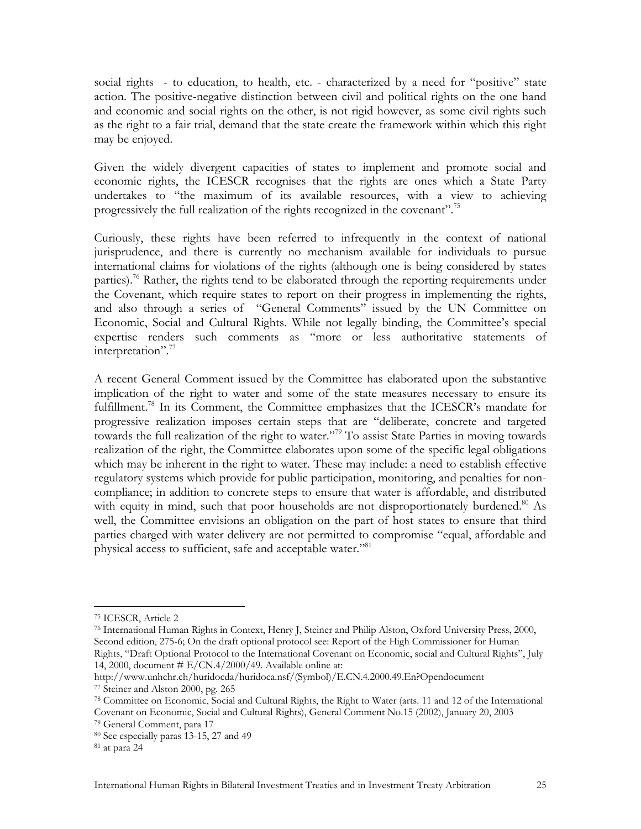social rights - to education, to health, etc. - characterized by a need for "positive" state action. The positive-negative distinction between civil and political rights on the one hand and economic and social rights on the other, is not rigid however, as some civil rights such as the right to a fair trial, demand that the state create the framework within which this right may be enjoyed.

Given the widely divergent capacities of states to implement and promote social and economic rights, the ICESCR recognises that the rights are ones which a State Party undertakes to "the maximum of its available resources, with a view to achieving progressively the full realization of the rights recognized in the covenant".<sup>75</sup>

Curiously, these rights have been referred to infrequently in the context of national jurisprudence, and there is currently no mechanism available for individuals to pursue international claims for violations of the rights (although one is being considered by states parties).<sup>76</sup> Rather, the rights tend to be elaborated through the reporting requirements under the Covenant, which require states to report on their progress in implementing the rights, and also through a series of "General Comments" issued by the UN Committee on Economic, Social and Cultural Rights. While not legally binding, the Committee's special expertise renders such comments as "more or less authoritative statements of interpretation".<sup>77</sup>

A recent General Comment issued by the Committee has elaborated upon the substantive implication of the right to water and some of the state measures necessary to ensure its fulfillment.<sup>78</sup> In its Comment, the Committee emphasizes that the ICESCR's mandate for progressive realization imposes certain steps that are "deliberate, concrete and targeted towards the full realization of the right to water."<sup>79</sup> To assist State Parties in moving towards realization of the right, the Committee elaborates upon some of the specific legal obligations which may be inherent in the right to water. These may include: a need to establish effective regulatory systems which provide for public participation, monitoring, and penalties for noncompliance; in addition to concrete steps to ensure that water is affordable, and distributed with equity in mind, such that poor households are not disproportionately burdened.<sup>80</sup> As well, the Committee envisions an obligation on the part of host states to ensure that third parties charged with water delivery are not permitted to compromise "equal, affordable and physical access to sufficient, safe and acceptable water."<sup>81</sup>

1

76 International Human Rights in Context, Henry J, Steiner and Philip Alston, Oxford University Press, 2000, Second edition, 275-6; On the draft optional protocol see: Report of the High Commissioner for Human Rights, "Draft Optional Protocol to the International Covenant on Economic, social and Cultural Rights", July 14, 2000, document # E/CN.4/2000/49. Available online at:

<sup>75</sup> ICESCR, Article 2

http://www.unhchr.ch/huridocda/huridoca.nsf/(Symbol)/E.CN.4.2000.49.En?Opendocument 77 Steiner and Alston 2000, pg. 265

<sup>78</sup> Committee on Economic, Social and Cultural Rights, the Right to Water (arts. 11 and 12 of the International Covenant on Economic, Social and Cultural Rights), General Comment No.15 (2002), January 20, 2003 79 General Comment, para 17

<sup>80</sup> See especially paras 13-15, 27 and 49

<sup>81</sup> at para 24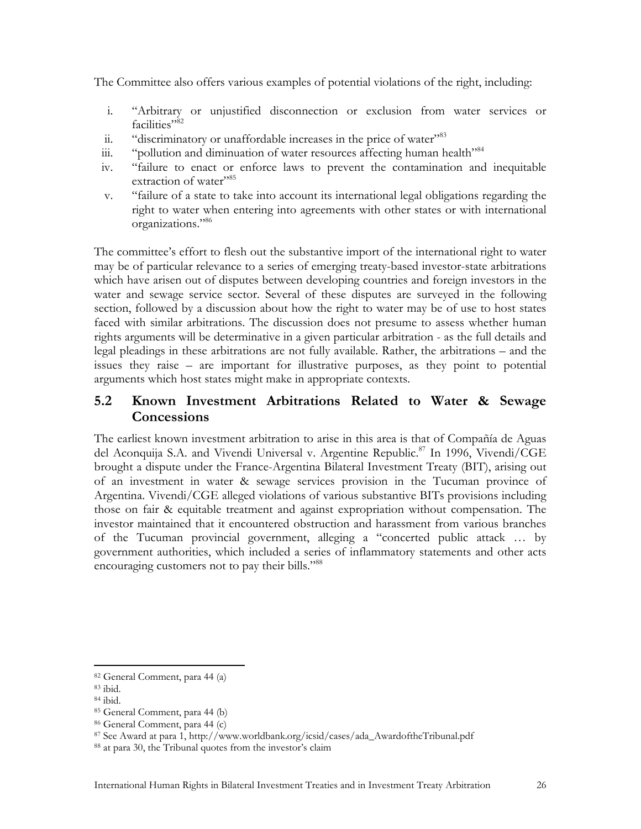The Committee also offers various examples of potential violations of the right, including:

- i. "Arbitrary or unjustified disconnection or exclusion from water services or facilities"<sup>82</sup>
- ii. "discriminatory or unaffordable increases in the price of water"<sup>83</sup>
- iii. "pollution and diminuation of water resources affecting human health"<sup>84</sup>
- iv. "failure to enact or enforce laws to prevent the contamination and inequitable extraction of water"<sup>85</sup>
- v. "failure of a state to take into account its international legal obligations regarding the right to water when entering into agreements with other states or with international organizations."86

The committee's effort to flesh out the substantive import of the international right to water may be of particular relevance to a series of emerging treaty-based investor-state arbitrations which have arisen out of disputes between developing countries and foreign investors in the water and sewage service sector. Several of these disputes are surveyed in the following section, followed by a discussion about how the right to water may be of use to host states faced with similar arbitrations. The discussion does not presume to assess whether human rights arguments will be determinative in a given particular arbitration - as the full details and legal pleadings in these arbitrations are not fully available. Rather, the arbitrations – and the issues they raise – are important for illustrative purposes, as they point to potential arguments which host states might make in appropriate contexts.

#### **5.2 Known Investment Arbitrations Related to Water & Sewage Concessions**

The earliest known investment arbitration to arise in this area is that of Compañía de Aguas del Aconquija S.A. and Vivendi Universal v. Argentine Republic.<sup>87</sup> In 1996, Vivendi/CGE brought a dispute under the France-Argentina Bilateral Investment Treaty (BIT), arising out of an investment in water & sewage services provision in the Tucuman province of Argentina. Vivendi/CGE alleged violations of various substantive BITs provisions including those on fair & equitable treatment and against expropriation without compensation. The investor maintained that it encountered obstruction and harassment from various branches of the Tucuman provincial government, alleging a "concerted public attack … by government authorities, which included a series of inflammatory statements and other acts encouraging customers not to pay their bills."<sup>88</sup>

<sup>82</sup> General Comment, para 44 (a)

<sup>83</sup> ibid.

<sup>84</sup> ibid.

<sup>85</sup> General Comment, para 44 (b)

<sup>86</sup> General Comment, para 44 (c)

<sup>&</sup>lt;sup>87</sup> See Award at para 1, http://www.worldbank.org/icsid/cases/ada\_AwardoftheTribunal.pdf <sup>88</sup> at para 30, the Tribunal quotes from the investor's claim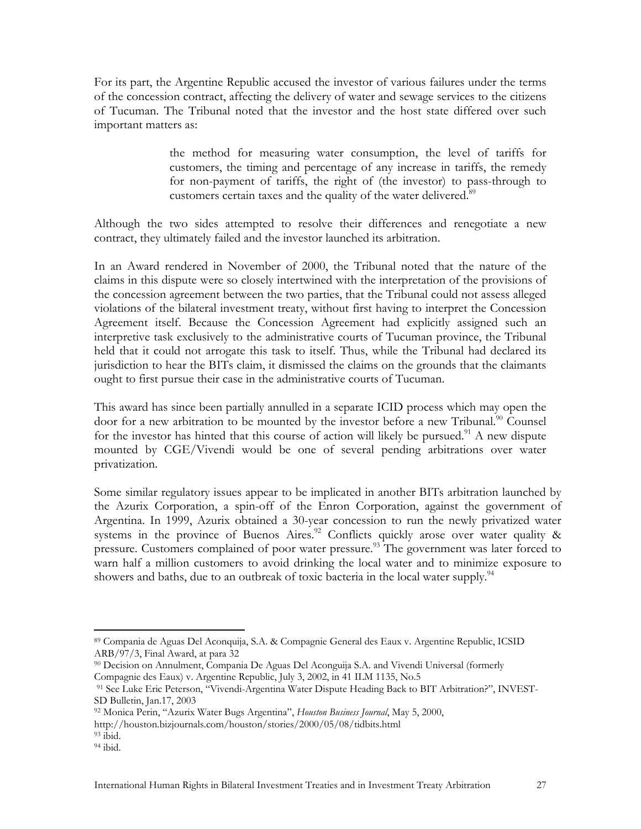For its part, the Argentine Republic accused the investor of various failures under the terms of the concession contract, affecting the delivery of water and sewage services to the citizens of Tucuman. The Tribunal noted that the investor and the host state differed over such important matters as:

> the method for measuring water consumption, the level of tariffs for customers, the timing and percentage of any increase in tariffs, the remedy for non-payment of tariffs, the right of (the investor) to pass-through to customers certain taxes and the quality of the water delivered.<sup>89</sup>

Although the two sides attempted to resolve their differences and renegotiate a new contract, they ultimately failed and the investor launched its arbitration.

In an Award rendered in November of 2000, the Tribunal noted that the nature of the claims in this dispute were so closely intertwined with the interpretation of the provisions of the concession agreement between the two parties, that the Tribunal could not assess alleged violations of the bilateral investment treaty, without first having to interpret the Concession Agreement itself. Because the Concession Agreement had explicitly assigned such an interpretive task exclusively to the administrative courts of Tucuman province, the Tribunal held that it could not arrogate this task to itself. Thus, while the Tribunal had declared its jurisdiction to hear the BITs claim, it dismissed the claims on the grounds that the claimants ought to first pursue their case in the administrative courts of Tucuman.

This award has since been partially annulled in a separate ICID process which may open the door for a new arbitration to be mounted by the investor before a new Tribunal.<sup>90</sup> Counsel for the investor has hinted that this course of action will likely be pursued.<sup>91</sup> A new dispute mounted by CGE/Vivendi would be one of several pending arbitrations over water privatization.

Some similar regulatory issues appear to be implicated in another BITs arbitration launched by the Azurix Corporation, a spin-off of the Enron Corporation, against the government of Argentina. In 1999, Azurix obtained a 30-year concession to run the newly privatized water systems in the province of Buenos Aires.<sup>92</sup> Conflicts quickly arose over water quality & pressure. Customers complained of poor water pressure.<sup>93</sup> The government was later forced to warn half a million customers to avoid drinking the local water and to minimize exposure to showers and baths, due to an outbreak of toxic bacteria in the local water supply.<sup>94</sup>

http://houston.bizjournals.com/houston/stories/2000/05/08/tidbits.html 93 ibid.

1

<sup>89</sup> Compania de Aguas Del Aconquija, S.A. & Compagnie General des Eaux v. Argentine Republic, ICSID ARB/97/3, Final Award, at para 32

<sup>90</sup> Decision on Annulment, Compania De Aguas Del Aconguija S.A. and Vivendi Universal (formerly

Compagnie des Eaux) v. Argentine Republic, July 3, 2002, in 41 ILM 1135, No.5<br><sup>91</sup> See Luke Eric Peterson, "Vivendi-Argentina Water Dispute Heading Back to BIT Arbitration?", INVEST-SD Bulletin, Jan.17, 2003

<sup>92</sup> Monica Perin, "Azurix Water Bugs Argentina", *Houston Business Journal*, May 5, 2000,

<sup>94</sup> ibid.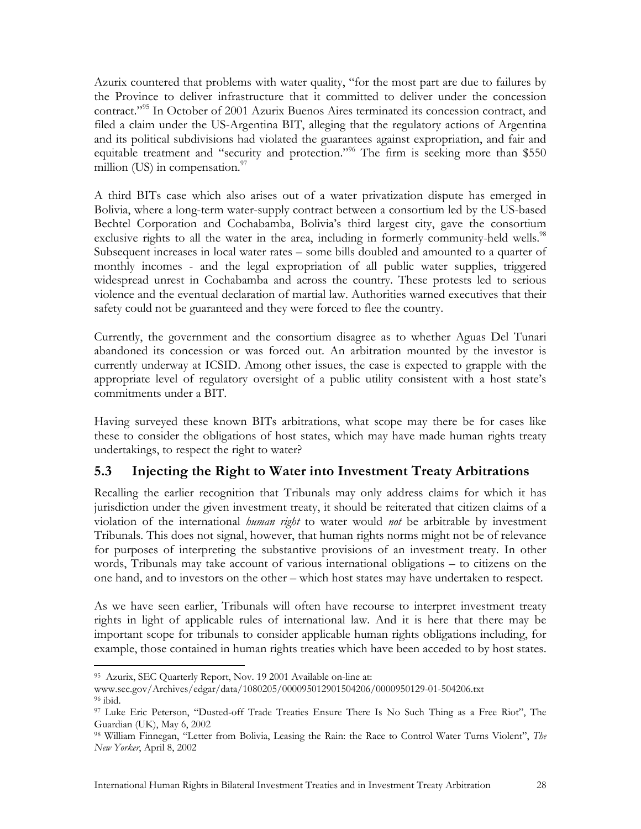Azurix countered that problems with water quality, "for the most part are due to failures by the Province to deliver infrastructure that it committed to deliver under the concession contract."95 In October of 2001 Azurix Buenos Aires terminated its concession contract, and filed a claim under the US-Argentina BIT, alleging that the regulatory actions of Argentina and its political subdivisions had violated the guarantees against expropriation, and fair and equitable treatment and "security and protection."<sup>96</sup> The firm is seeking more than \$550 million  $(US)$  in compensation.<sup>97</sup>

A third BITs case which also arises out of a water privatization dispute has emerged in Bolivia, where a long-term water-supply contract between a consortium led by the US-based Bechtel Corporation and Cochabamba, Bolivia's third largest city, gave the consortium exclusive rights to all the water in the area, including in formerly community-held wells.<sup>98</sup> Subsequent increases in local water rates – some bills doubled and amounted to a quarter of monthly incomes - and the legal expropriation of all public water supplies, triggered widespread unrest in Cochabamba and across the country. These protests led to serious violence and the eventual declaration of martial law. Authorities warned executives that their safety could not be guaranteed and they were forced to flee the country.

Currently, the government and the consortium disagree as to whether Aguas Del Tunari abandoned its concession or was forced out. An arbitration mounted by the investor is currently underway at ICSID. Among other issues, the case is expected to grapple with the appropriate level of regulatory oversight of a public utility consistent with a host state's commitments under a BIT.

Having surveyed these known BITs arbitrations, what scope may there be for cases like these to consider the obligations of host states, which may have made human rights treaty undertakings, to respect the right to water?

## **5.3 Injecting the Right to Water into Investment Treaty Arbitrations**

Recalling the earlier recognition that Tribunals may only address claims for which it has jurisdiction under the given investment treaty, it should be reiterated that citizen claims of a violation of the international *human right* to water would *not* be arbitrable by investment Tribunals. This does not signal, however, that human rights norms might not be of relevance for purposes of interpreting the substantive provisions of an investment treaty. In other words, Tribunals may take account of various international obligations – to citizens on the one hand, and to investors on the other – which host states may have undertaken to respect.

As we have seen earlier, Tribunals will often have recourse to interpret investment treaty rights in light of applicable rules of international law. And it is here that there may be important scope for tribunals to consider applicable human rights obligations including, for example, those contained in human rights treaties which have been acceded to by host states.

 $\overline{a}$ 95 Azurix, SEC Quarterly Report, Nov. 19 2001 Available on-line at:

www.sec.gov/Archives/edgar/data/1080205/000095012901504206/0000950129-01-504206.txt 96 ibid.

<sup>97</sup> Luke Eric Peterson, "Dusted-off Trade Treaties Ensure There Is No Such Thing as a Free Riot", The Guardian (UK), May 6, 2002

<sup>98</sup> William Finnegan, "Letter from Bolivia, Leasing the Rain: the Race to Control Water Turns Violent", *The New Yorker*, April 8, 2002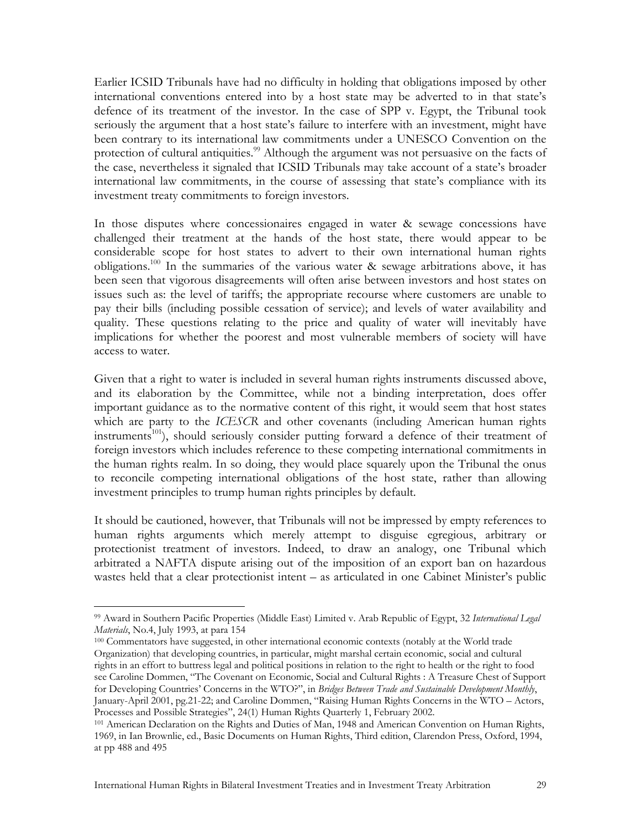Earlier ICSID Tribunals have had no difficulty in holding that obligations imposed by other international conventions entered into by a host state may be adverted to in that state's defence of its treatment of the investor. In the case of SPP v. Egypt, the Tribunal took seriously the argument that a host state's failure to interfere with an investment, might have been contrary to its international law commitments under a UNESCO Convention on the protection of cultural antiquities.<sup>99</sup> Although the argument was not persuasive on the facts of the case, nevertheless it signaled that ICSID Tribunals may take account of a state's broader international law commitments, in the course of assessing that state's compliance with its investment treaty commitments to foreign investors.

In those disputes where concessionaires engaged in water & sewage concessions have challenged their treatment at the hands of the host state, there would appear to be considerable scope for host states to advert to their own international human rights obligations.100 In the summaries of the various water & sewage arbitrations above, it has been seen that vigorous disagreements will often arise between investors and host states on issues such as: the level of tariffs; the appropriate recourse where customers are unable to pay their bills (including possible cessation of service); and levels of water availability and quality. These questions relating to the price and quality of water will inevitably have implications for whether the poorest and most vulnerable members of society will have access to water.

Given that a right to water is included in several human rights instruments discussed above, and its elaboration by the Committee, while not a binding interpretation, does offer important guidance as to the normative content of this right, it would seem that host states which are party to the *ICESCR* and other covenants (including American human rights instruments<sup>101</sup>), should seriously consider putting forward a defence of their treatment of foreign investors which includes reference to these competing international commitments in the human rights realm. In so doing, they would place squarely upon the Tribunal the onus to reconcile competing international obligations of the host state, rather than allowing investment principles to trump human rights principles by default.

It should be cautioned, however, that Tribunals will not be impressed by empty references to human rights arguments which merely attempt to disguise egregious, arbitrary or protectionist treatment of investors. Indeed, to draw an analogy, one Tribunal which arbitrated a NAFTA dispute arising out of the imposition of an export ban on hazardous wastes held that a clear protectionist intent – as articulated in one Cabinet Minister's public

<sup>99</sup> Award in Southern Pacific Properties (Middle East) Limited v. Arab Republic of Egypt, 32 *International Legal Materials*, No.4, July 1993, at para 154<br><sup>100</sup> Commentators have suggested, in other international economic contexts (notably at the World trade

Organization) that developing countries, in particular, might marshal certain economic, social and cultural rights in an effort to buttress legal and political positions in relation to the right to health or the right to food see Caroline Dommen, "The Covenant on Economic, Social and Cultural Rights : A Treasure Chest of Support for Developing Countries' Concerns in the WTO?", in *Bridges Between Trade and Sustainable Development Monthly*, January-April 2001, pg.21-22; and Caroline Dommen, "Raising Human Rights Concerns in the WTO – Actors,

<sup>&</sup>lt;sup>101</sup> American Declaration on the Rights and Duties of Man, 1948 and American Convention on Human Rights, 1969, in Ian Brownlie, ed., Basic Documents on Human Rights, Third edition, Clarendon Press, Oxford, 1994, at pp 488 and 495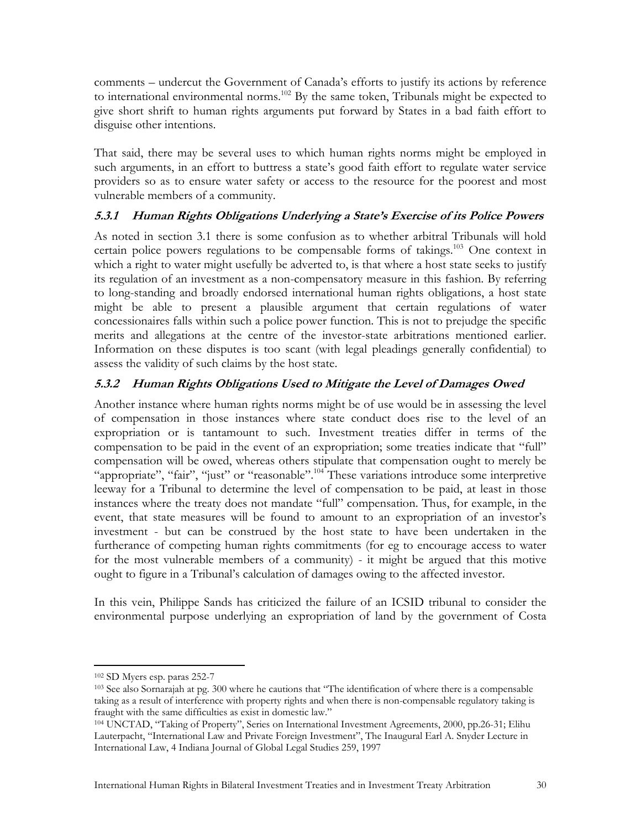comments – undercut the Government of Canada's efforts to justify its actions by reference to international environmental norms.<sup>102</sup> By the same token, Tribunals might be expected to give short shrift to human rights arguments put forward by States in a bad faith effort to disguise other intentions.

That said, there may be several uses to which human rights norms might be employed in such arguments, in an effort to buttress a state's good faith effort to regulate water service providers so as to ensure water safety or access to the resource for the poorest and most vulnerable members of a community.

#### **5.3.1 Human Rights Obligations Underlying a State's Exercise of its Police Powers**

As noted in section 3.1 there is some confusion as to whether arbitral Tribunals will hold certain police powers regulations to be compensable forms of takings.<sup>103</sup> One context in which a right to water might usefully be adverted to, is that where a host state seeks to justify its regulation of an investment as a non-compensatory measure in this fashion. By referring to long-standing and broadly endorsed international human rights obligations, a host state might be able to present a plausible argument that certain regulations of water concessionaires falls within such a police power function. This is not to prejudge the specific merits and allegations at the centre of the investor-state arbitrations mentioned earlier. Information on these disputes is too scant (with legal pleadings generally confidential) to assess the validity of such claims by the host state.

#### **5.3.2 Human Rights Obligations Used to Mitigate the Level of Damages Owed**

Another instance where human rights norms might be of use would be in assessing the level of compensation in those instances where state conduct does rise to the level of an expropriation or is tantamount to such. Investment treaties differ in terms of the compensation to be paid in the event of an expropriation; some treaties indicate that "full" compensation will be owed, whereas others stipulate that compensation ought to merely be "appropriate", "fair", "just" or "reasonable".<sup>104</sup> These variations introduce some interpretive leeway for a Tribunal to determine the level of compensation to be paid, at least in those instances where the treaty does not mandate "full" compensation. Thus, for example, in the event, that state measures will be found to amount to an expropriation of an investor's investment - but can be construed by the host state to have been undertaken in the furtherance of competing human rights commitments (for eg to encourage access to water for the most vulnerable members of a community) - it might be argued that this motive ought to figure in a Tribunal's calculation of damages owing to the affected investor.

In this vein, Philippe Sands has criticized the failure of an ICSID tribunal to consider the environmental purpose underlying an expropriation of land by the government of Costa

<sup>1</sup> 

<sup>&</sup>lt;sup>102</sup> SD Myers esp. paras 252-7<br><sup>103</sup> See also Sornarajah at pg. 300 where he cautions that "The identification of where there is a compensable taking as a result of interference with property rights and when there is non-compensable regulatory taking is fraught with the same difficulties as exist in domestic law."

<sup>104</sup> UNCTAD, "Taking of Property", Series on International Investment Agreements, 2000, pp.26-31; Elihu Lauterpacht, "International Law and Private Foreign Investment", The Inaugural Earl A. Snyder Lecture in International Law, 4 Indiana Journal of Global Legal Studies 259, 1997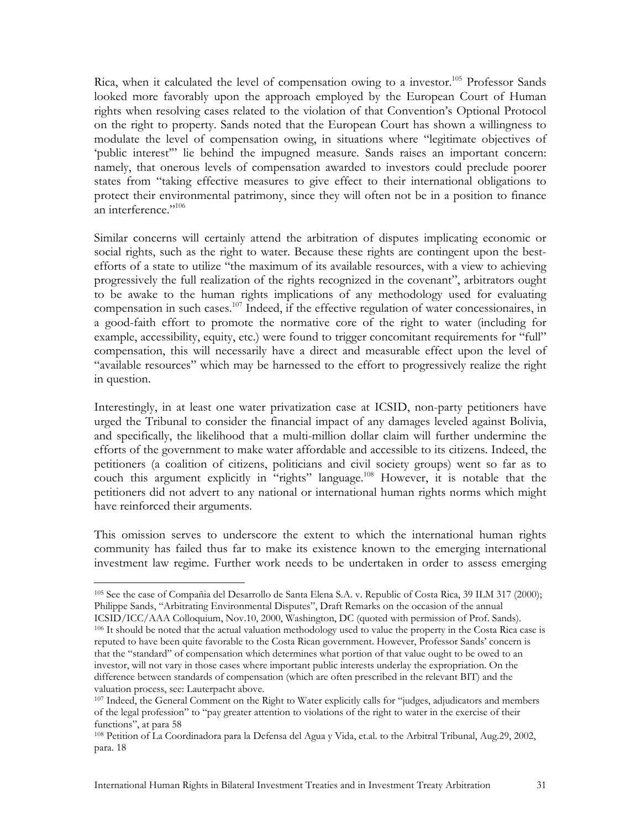Rica, when it calculated the level of compensation owing to a investor.<sup>105</sup> Professor Sands looked more favorably upon the approach employed by the European Court of Human rights when resolving cases related to the violation of that Convention's Optional Protocol on the right to property. Sands noted that the European Court has shown a willingness to modulate the level of compensation owing, in situations where "legitimate objectives of 'public interest'" lie behind the impugned measure. Sands raises an important concern: namely, that onerous levels of compensation awarded to investors could preclude poorer states from "taking effective measures to give effect to their international obligations to protect their environmental patrimony, since they will often not be in a position to finance an interference." $^{106}$ 

Similar concerns will certainly attend the arbitration of disputes implicating economic or social rights, such as the right to water. Because these rights are contingent upon the bestefforts of a state to utilize "the maximum of its available resources, with a view to achieving progressively the full realization of the rights recognized in the covenant", arbitrators ought to be awake to the human rights implications of any methodology used for evaluating compensation in such cases.<sup>107</sup> Indeed, if the effective regulation of water concessionaires, in a good-faith effort to promote the normative core of the right to water (including for example, accessibility, equity, etc.) were found to trigger concomitant requirements for "full" compensation, this will necessarily have a direct and measurable effect upon the level of "available resources" which may be harnessed to the effort to progressively realize the right in question.

Interestingly, in at least one water privatization case at ICSID, non-party petitioners have urged the Tribunal to consider the financial impact of any damages leveled against Bolivia, and specifically, the likelihood that a multi-million dollar claim will further undermine the efforts of the government to make water affordable and accessible to its citizens. Indeed, the petitioners (a coalition of citizens, politicians and civil society groups) went so far as to couch this argument explicitly in "rights" language.<sup>108</sup> However, it is notable that the petitioners did not advert to any national or international human rights norms which might have reinforced their arguments.

This omission serves to underscore the extent to which the international human rights community has failed thus far to make its existence known to the emerging international investment law regime. Further work needs to be undertaken in order to assess emerging

 $\overline{a}$ 105 See the case of Compañia del Desarrollo de Santa Elena S.A. v. Republic of Costa Rica, 39 ILM 317 (2000); Philippe Sands, "Arbitrating Environmental Disputes", Draft Remarks on the occasion of the annual

ICSID/ICC/AAA Colloquium, Nov.10, 2000, Washington, DC (quoted with permission of Prof. Sands). 106 It should be noted that the actual valuation methodology used to value the property in the Costa Rica case is reputed to have been quite favorable to the Costa Rican government. However, Professor Sands' concern is that the "standard" of compensation which determines what portion of that value ought to be owed to an investor, will not vary in those cases where important public interests underlay the expropriation. On the difference between standards of compensation (which are often prescribed in the relevant BIT) and the valuation process, see: Lauterpacht above.

<sup>&</sup>lt;sup>107</sup> Indeed, the General Comment on the Right to Water explicitly calls for "judges, adjudicators and members of the legal profession" to "pay greater attention to violations of the right to water in the exercise of their functions", at para 58

<sup>108</sup> Petition of La Coordinadora para la Defensa del Agua y Vida, et.al. to the Arbitral Tribunal, Aug.29, 2002, para. 18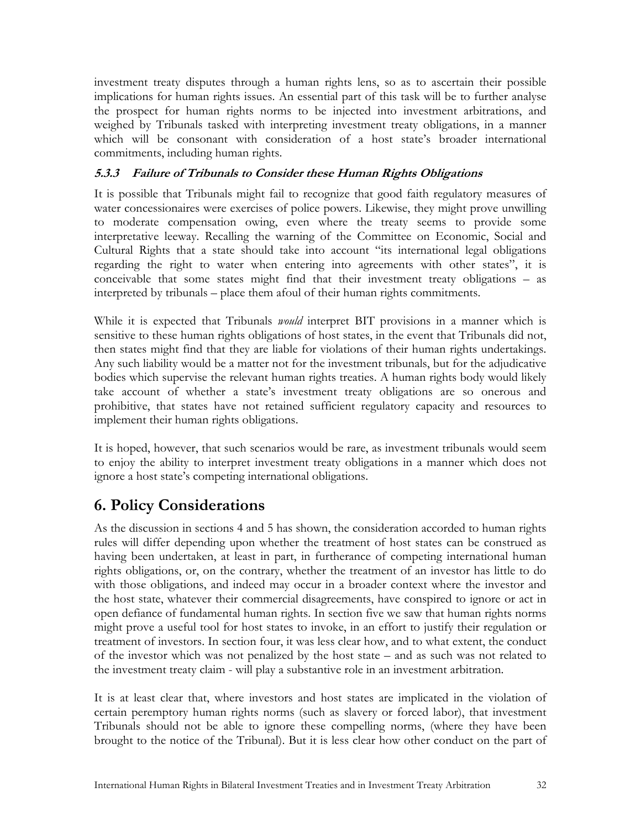investment treaty disputes through a human rights lens, so as to ascertain their possible implications for human rights issues. An essential part of this task will be to further analyse the prospect for human rights norms to be injected into investment arbitrations, and weighed by Tribunals tasked with interpreting investment treaty obligations, in a manner which will be consonant with consideration of a host state's broader international commitments, including human rights.

#### **5.3.3 Failure of Tribunals to Consider these Human Rights Obligations**

It is possible that Tribunals might fail to recognize that good faith regulatory measures of water concessionaires were exercises of police powers. Likewise, they might prove unwilling to moderate compensation owing, even where the treaty seems to provide some interpretative leeway. Recalling the warning of the Committee on Economic, Social and Cultural Rights that a state should take into account "its international legal obligations regarding the right to water when entering into agreements with other states", it is conceivable that some states might find that their investment treaty obligations – as interpreted by tribunals – place them afoul of their human rights commitments.

While it is expected that Tribunals *would* interpret BIT provisions in a manner which is sensitive to these human rights obligations of host states, in the event that Tribunals did not, then states might find that they are liable for violations of their human rights undertakings. Any such liability would be a matter not for the investment tribunals, but for the adjudicative bodies which supervise the relevant human rights treaties. A human rights body would likely take account of whether a state's investment treaty obligations are so onerous and prohibitive, that states have not retained sufficient regulatory capacity and resources to implement their human rights obligations.

It is hoped, however, that such scenarios would be rare, as investment tribunals would seem to enjoy the ability to interpret investment treaty obligations in a manner which does not ignore a host state's competing international obligations.

# **6. Policy Considerations**

As the discussion in sections 4 and 5 has shown, the consideration accorded to human rights rules will differ depending upon whether the treatment of host states can be construed as having been undertaken, at least in part, in furtherance of competing international human rights obligations, or, on the contrary, whether the treatment of an investor has little to do with those obligations, and indeed may occur in a broader context where the investor and the host state, whatever their commercial disagreements, have conspired to ignore or act in open defiance of fundamental human rights. In section five we saw that human rights norms might prove a useful tool for host states to invoke, in an effort to justify their regulation or treatment of investors. In section four, it was less clear how, and to what extent, the conduct of the investor which was not penalized by the host state – and as such was not related to the investment treaty claim - will play a substantive role in an investment arbitration.

It is at least clear that, where investors and host states are implicated in the violation of certain peremptory human rights norms (such as slavery or forced labor), that investment Tribunals should not be able to ignore these compelling norms, (where they have been brought to the notice of the Tribunal). But it is less clear how other conduct on the part of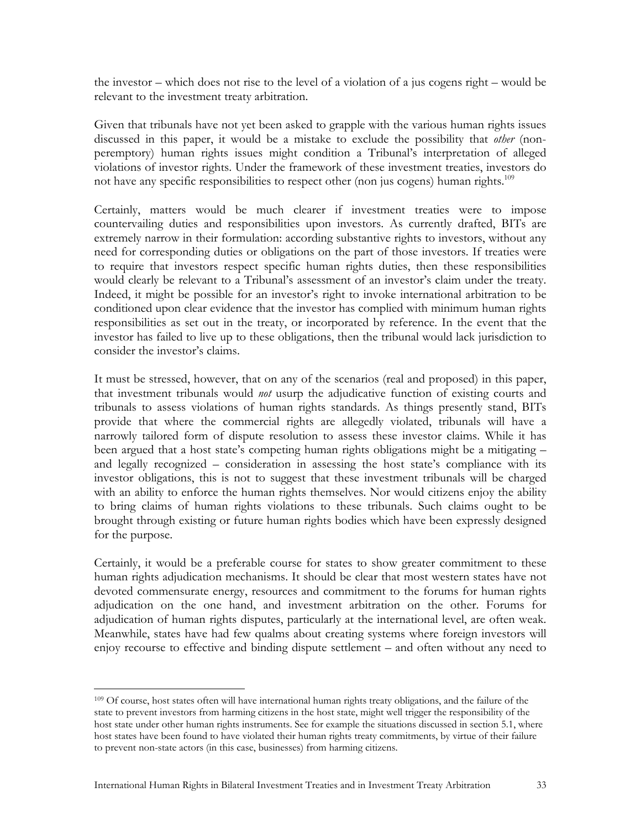the investor – which does not rise to the level of a violation of a jus cogens right – would be relevant to the investment treaty arbitration.

Given that tribunals have not yet been asked to grapple with the various human rights issues discussed in this paper, it would be a mistake to exclude the possibility that *other* (nonperemptory) human rights issues might condition a Tribunal's interpretation of alleged violations of investor rights. Under the framework of these investment treaties, investors do not have any specific responsibilities to respect other (non jus cogens) human rights.<sup>109</sup>

Certainly, matters would be much clearer if investment treaties were to impose countervailing duties and responsibilities upon investors. As currently drafted, BITs are extremely narrow in their formulation: according substantive rights to investors, without any need for corresponding duties or obligations on the part of those investors. If treaties were to require that investors respect specific human rights duties, then these responsibilities would clearly be relevant to a Tribunal's assessment of an investor's claim under the treaty. Indeed, it might be possible for an investor's right to invoke international arbitration to be conditioned upon clear evidence that the investor has complied with minimum human rights responsibilities as set out in the treaty, or incorporated by reference. In the event that the investor has failed to live up to these obligations, then the tribunal would lack jurisdiction to consider the investor's claims.

It must be stressed, however, that on any of the scenarios (real and proposed) in this paper, that investment tribunals would *not* usurp the adjudicative function of existing courts and tribunals to assess violations of human rights standards. As things presently stand, BITs provide that where the commercial rights are allegedly violated, tribunals will have a narrowly tailored form of dispute resolution to assess these investor claims. While it has been argued that a host state's competing human rights obligations might be a mitigating – and legally recognized – consideration in assessing the host state's compliance with its investor obligations, this is not to suggest that these investment tribunals will be charged with an ability to enforce the human rights themselves. Nor would citizens enjoy the ability to bring claims of human rights violations to these tribunals. Such claims ought to be brought through existing or future human rights bodies which have been expressly designed for the purpose.

Certainly, it would be a preferable course for states to show greater commitment to these human rights adjudication mechanisms. It should be clear that most western states have not devoted commensurate energy, resources and commitment to the forums for human rights adjudication on the one hand, and investment arbitration on the other. Forums for adjudication of human rights disputes, particularly at the international level, are often weak. Meanwhile, states have had few qualms about creating systems where foreign investors will enjoy recourse to effective and binding dispute settlement – and often without any need to

<sup>&</sup>lt;sup>109</sup> Of course, host states often will have international human rights treaty obligations, and the failure of the state to prevent investors from harming citizens in the host state, might well trigger the responsibility of the host state under other human rights instruments. See for example the situations discussed in section 5.1, where host states have been found to have violated their human rights treaty commitments, by virtue of their failure to prevent non-state actors (in this case, businesses) from harming citizens.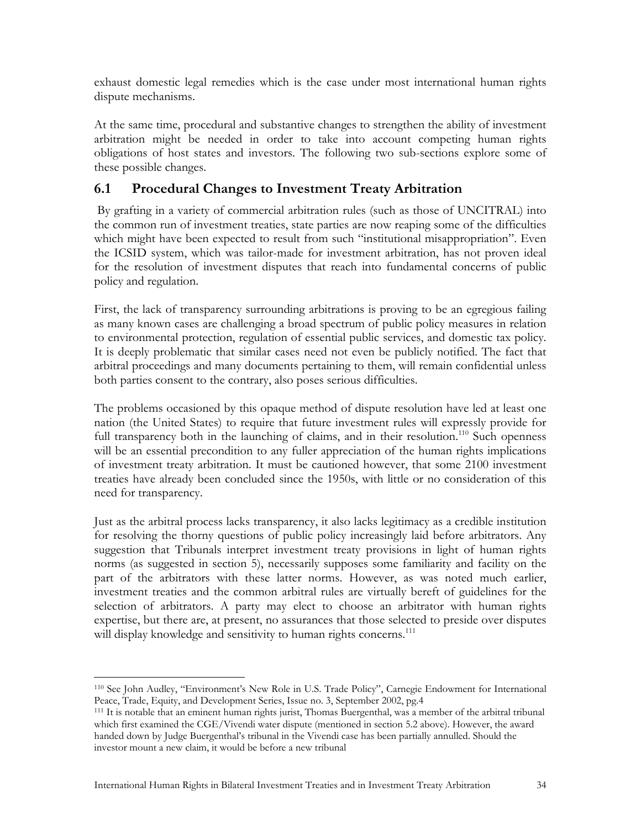exhaust domestic legal remedies which is the case under most international human rights dispute mechanisms.

At the same time, procedural and substantive changes to strengthen the ability of investment arbitration might be needed in order to take into account competing human rights obligations of host states and investors. The following two sub-sections explore some of these possible changes.

## **6.1 Procedural Changes to Investment Treaty Arbitration**

 By grafting in a variety of commercial arbitration rules (such as those of UNCITRAL) into the common run of investment treaties, state parties are now reaping some of the difficulties which might have been expected to result from such "institutional misappropriation". Even the ICSID system, which was tailor-made for investment arbitration, has not proven ideal for the resolution of investment disputes that reach into fundamental concerns of public policy and regulation.

First, the lack of transparency surrounding arbitrations is proving to be an egregious failing as many known cases are challenging a broad spectrum of public policy measures in relation to environmental protection, regulation of essential public services, and domestic tax policy. It is deeply problematic that similar cases need not even be publicly notified. The fact that arbitral proceedings and many documents pertaining to them, will remain confidential unless both parties consent to the contrary, also poses serious difficulties.

The problems occasioned by this opaque method of dispute resolution have led at least one nation (the United States) to require that future investment rules will expressly provide for full transparency both in the launching of claims, and in their resolution.<sup>110</sup> Such openness will be an essential precondition to any fuller appreciation of the human rights implications of investment treaty arbitration. It must be cautioned however, that some 2100 investment treaties have already been concluded since the 1950s, with little or no consideration of this need for transparency.

Just as the arbitral process lacks transparency, it also lacks legitimacy as a credible institution for resolving the thorny questions of public policy increasingly laid before arbitrators. Any suggestion that Tribunals interpret investment treaty provisions in light of human rights norms (as suggested in section 5), necessarily supposes some familiarity and facility on the part of the arbitrators with these latter norms. However, as was noted much earlier, investment treaties and the common arbitral rules are virtually bereft of guidelines for the selection of arbitrators. A party may elect to choose an arbitrator with human rights expertise, but there are, at present, no assurances that those selected to preside over disputes will display knowledge and sensitivity to human rights concerns.<sup>111</sup>

 $\overline{a}$ 110 See John Audley, "Environment's New Role in U.S. Trade Policy", Carnegie Endowment for International Peace, Trade, Equity, and Development Series, Issue no. 3, September 2002, pg.4<br><sup>111</sup> It is notable that an eminent human rights jurist, Thomas Buergenthal, was a member of the arbitral tribunal

which first examined the CGE/Vivendi water dispute (mentioned in section 5.2 above). However, the award handed down by Judge Buergenthal's tribunal in the Vivendi case has been partially annulled. Should the investor mount a new claim, it would be before a new tribunal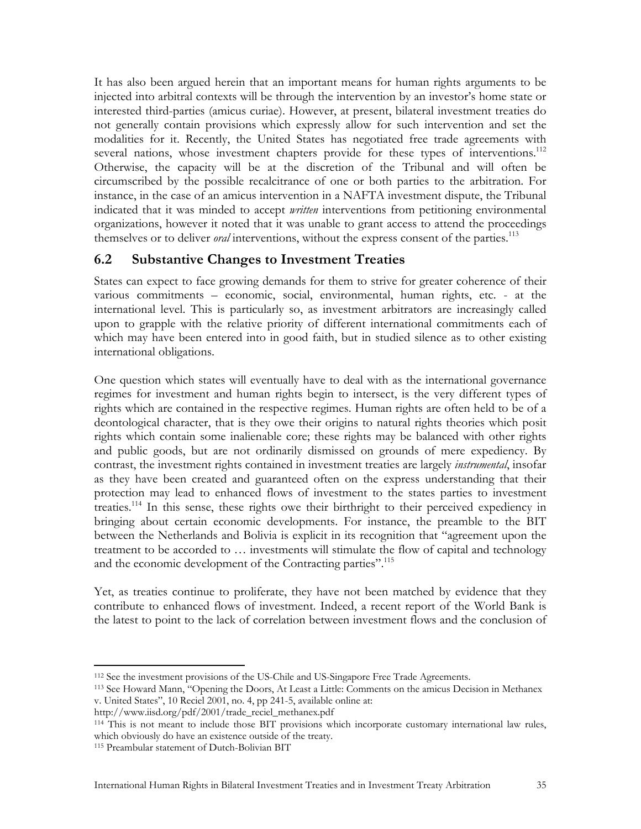It has also been argued herein that an important means for human rights arguments to be injected into arbitral contexts will be through the intervention by an investor's home state or interested third-parties (amicus curiae). However, at present, bilateral investment treaties do not generally contain provisions which expressly allow for such intervention and set the modalities for it. Recently, the United States has negotiated free trade agreements with several nations, whose investment chapters provide for these types of interventions.<sup>112</sup> Otherwise, the capacity will be at the discretion of the Tribunal and will often be circumscribed by the possible recalcitrance of one or both parties to the arbitration. For instance, in the case of an amicus intervention in a NAFTA investment dispute, the Tribunal indicated that it was minded to accept *written* interventions from petitioning environmental organizations, however it noted that it was unable to grant access to attend the proceedings themselves or to deliver *oral* interventions, without the express consent of the parties.<sup>113</sup>

#### **6.2 Substantive Changes to Investment Treaties**

States can expect to face growing demands for them to strive for greater coherence of their various commitments – economic, social, environmental, human rights, etc. - at the international level. This is particularly so, as investment arbitrators are increasingly called upon to grapple with the relative priority of different international commitments each of which may have been entered into in good faith, but in studied silence as to other existing international obligations.

One question which states will eventually have to deal with as the international governance regimes for investment and human rights begin to intersect, is the very different types of rights which are contained in the respective regimes. Human rights are often held to be of a deontological character, that is they owe their origins to natural rights theories which posit rights which contain some inalienable core; these rights may be balanced with other rights and public goods, but are not ordinarily dismissed on grounds of mere expediency. By contrast, the investment rights contained in investment treaties are largely *instrumental*, insofar as they have been created and guaranteed often on the express understanding that their protection may lead to enhanced flows of investment to the states parties to investment treaties.114 In this sense, these rights owe their birthright to their perceived expediency in bringing about certain economic developments. For instance, the preamble to the BIT between the Netherlands and Bolivia is explicit in its recognition that "agreement upon the treatment to be accorded to … investments will stimulate the flow of capital and technology and the economic development of the Contracting parties".<sup>115</sup>

Yet, as treaties continue to proliferate, they have not been matched by evidence that they contribute to enhanced flows of investment. Indeed, a recent report of the World Bank is the latest to point to the lack of correlation between investment flows and the conclusion of

 $\overline{a}$ 

<sup>&</sup>lt;sup>112</sup> See the investment provisions of the US-Chile and US-Singapore Free Trade Agreements.<br><sup>113</sup> See Howard Mann, "Opening the Doors, At Least a Little: Comments on the amicus Decision in Methanex v. United States", 10 Reciel 2001, no. 4, pp 241-5, available online at:

http://www.iisd.org/pdf/2001/trade\_reciel\_methanex.pdf<br><sup>114</sup> This is not meant to include those BIT provisions which incorporate customary international law rules, which obviously do have an existence outside of the treaty.

<sup>115</sup> Preambular statement of Dutch-Bolivian BIT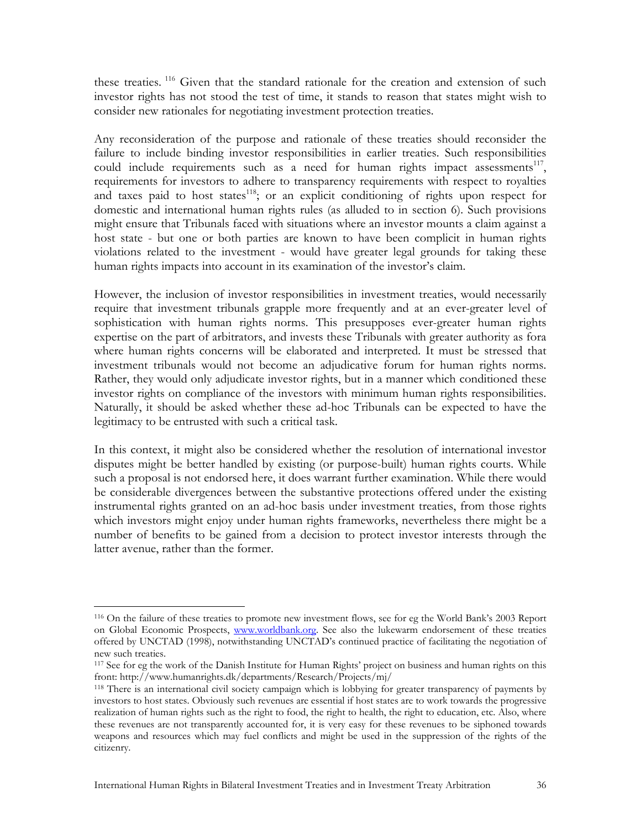these treaties.<sup>116</sup> Given that the standard rationale for the creation and extension of such investor rights has not stood the test of time, it stands to reason that states might wish to consider new rationales for negotiating investment protection treaties.

Any reconsideration of the purpose and rationale of these treaties should reconsider the failure to include binding investor responsibilities in earlier treaties. Such responsibilities could include requirements such as a need for human rights impact assessments<sup>117</sup>, requirements for investors to adhere to transparency requirements with respect to royalties and taxes paid to host states<sup>118</sup>; or an explicit conditioning of rights upon respect for domestic and international human rights rules (as alluded to in section 6). Such provisions might ensure that Tribunals faced with situations where an investor mounts a claim against a host state - but one or both parties are known to have been complicit in human rights violations related to the investment - would have greater legal grounds for taking these human rights impacts into account in its examination of the investor's claim.

However, the inclusion of investor responsibilities in investment treaties, would necessarily require that investment tribunals grapple more frequently and at an ever-greater level of sophistication with human rights norms. This presupposes ever-greater human rights expertise on the part of arbitrators, and invests these Tribunals with greater authority as fora where human rights concerns will be elaborated and interpreted. It must be stressed that investment tribunals would not become an adjudicative forum for human rights norms. Rather, they would only adjudicate investor rights, but in a manner which conditioned these investor rights on compliance of the investors with minimum human rights responsibilities. Naturally, it should be asked whether these ad-hoc Tribunals can be expected to have the legitimacy to be entrusted with such a critical task.

In this context, it might also be considered whether the resolution of international investor disputes might be better handled by existing (or purpose-built) human rights courts. While such a proposal is not endorsed here, it does warrant further examination. While there would be considerable divergences between the substantive protections offered under the existing instrumental rights granted on an ad-hoc basis under investment treaties, from those rights which investors might enjoy under human rights frameworks, nevertheless there might be a number of benefits to be gained from a decision to protect investor interests through the latter avenue, rather than the former.

<sup>116</sup> On the failure of these treaties to promote new investment flows, see for eg the World Bank's 2003 Report on Global Economic Prospects, www.worldbank.org. See also the lukewarm endorsement of these treaties offered by UNCTAD (1998), notwithstanding UNCTAD's continued practice of facilitating the negotiation of new such treaties.

<sup>117</sup> See for eg the work of the Danish Institute for Human Rights' project on business and human rights on this front: http://www.humanrights.dk/departments/Research/Projects/mj/ 118 There is an international civil society campaign which is lobbying for greater transparency of payments by

investors to host states. Obviously such revenues are essential if host states are to work towards the progressive realization of human rights such as the right to food, the right to health, the right to education, etc. Also, where these revenues are not transparently accounted for, it is very easy for these revenues to be siphoned towards weapons and resources which may fuel conflicts and might be used in the suppression of the rights of the citizenry.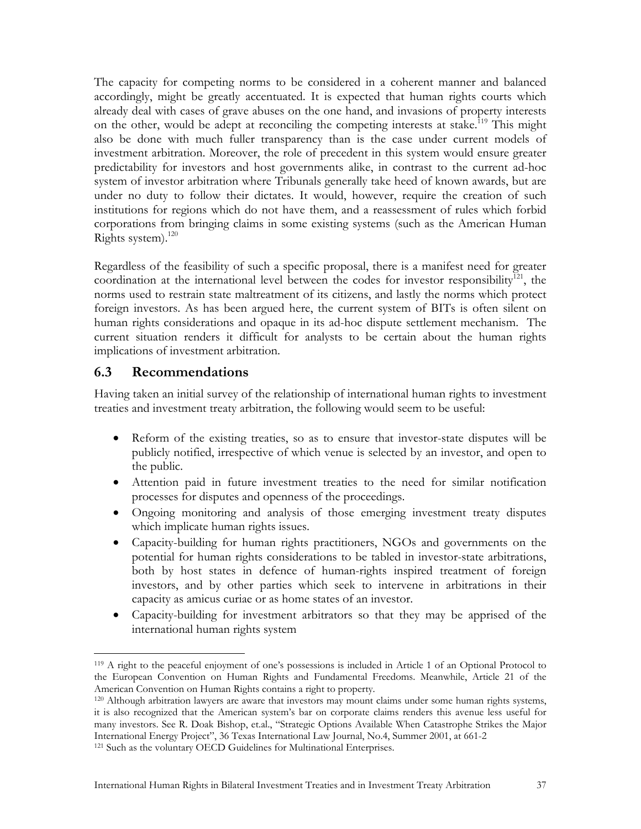The capacity for competing norms to be considered in a coherent manner and balanced accordingly, might be greatly accentuated. It is expected that human rights courts which already deal with cases of grave abuses on the one hand, and invasions of property interests on the other, would be adept at reconciling the competing interests at stake.<sup>119</sup> This might also be done with much fuller transparency than is the case under current models of investment arbitration. Moreover, the role of precedent in this system would ensure greater predictability for investors and host governments alike, in contrast to the current ad-hoc system of investor arbitration where Tribunals generally take heed of known awards, but are under no duty to follow their dictates. It would, however, require the creation of such institutions for regions which do not have them, and a reassessment of rules which forbid corporations from bringing claims in some existing systems (such as the American Human Rights system). $120$ 

Regardless of the feasibility of such a specific proposal, there is a manifest need for greater coordination at the international level between the codes for investor responsibility<sup>121</sup>, the norms used to restrain state maltreatment of its citizens, and lastly the norms which protect foreign investors. As has been argued here, the current system of BITs is often silent on human rights considerations and opaque in its ad-hoc dispute settlement mechanism. The current situation renders it difficult for analysts to be certain about the human rights implications of investment arbitration.

#### **6.3 Recommendations**

Having taken an initial survey of the relationship of international human rights to investment treaties and investment treaty arbitration, the following would seem to be useful:

- Reform of the existing treaties, so as to ensure that investor-state disputes will be publicly notified, irrespective of which venue is selected by an investor, and open to the public.
- Attention paid in future investment treaties to the need for similar notification processes for disputes and openness of the proceedings.
- Ongoing monitoring and analysis of those emerging investment treaty disputes which implicate human rights issues.
- Capacity-building for human rights practitioners, NGOs and governments on the potential for human rights considerations to be tabled in investor-state arbitrations, both by host states in defence of human-rights inspired treatment of foreign investors, and by other parties which seek to intervene in arbitrations in their capacity as amicus curiae or as home states of an investor.
- Capacity-building for investment arbitrators so that they may be apprised of the international human rights system

 $\overline{a}$ 119 A right to the peaceful enjoyment of one's possessions is included in Article 1 of an Optional Protocol to the European Convention on Human Rights and Fundamental Freedoms. Meanwhile, Article 21 of the American Convention on Human Rights contains a right to property.<br><sup>120</sup> Although arbitration lawyers are aware that investors may mount claims under some human rights systems,

it is also recognized that the American system's bar on corporate claims renders this avenue less useful for many investors. See R. Doak Bishop, et.al., "Strategic Options Available When Catastrophe Strikes the Major International Energy Project", 36 Texas International Law Journal, No.4, Summer 2001, at 661-2<br><sup>121</sup> Such as the voluntary OECD Guidelines for Multinational Enterprises.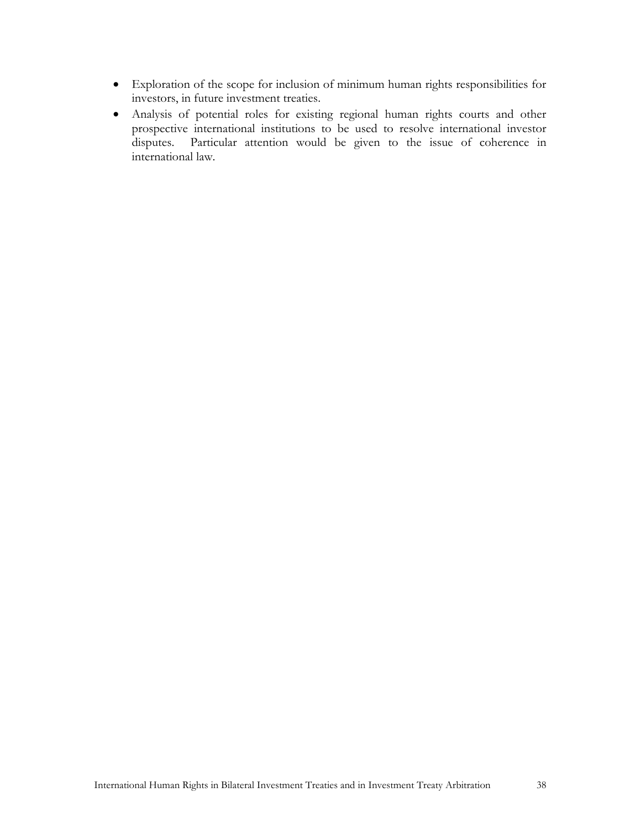- Exploration of the scope for inclusion of minimum human rights responsibilities for investors, in future investment treaties.
- Analysis of potential roles for existing regional human rights courts and other prospective international institutions to be used to resolve international investor disputes. Particular attention would be given to the issue of coherence in international law.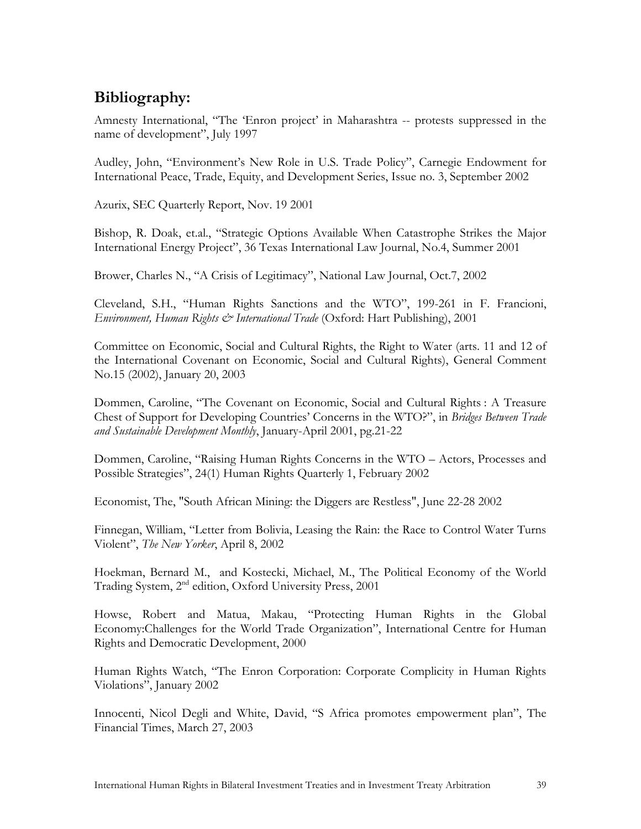# **Bibliography:**

Amnesty International, "The 'Enron project' in Maharashtra -- protests suppressed in the name of development", July 1997

Audley, John, "Environment's New Role in U.S. Trade Policy", Carnegie Endowment for International Peace, Trade, Equity, and Development Series, Issue no. 3, September 2002

Azurix, SEC Quarterly Report, Nov. 19 2001

Bishop, R. Doak, et.al., "Strategic Options Available When Catastrophe Strikes the Major International Energy Project", 36 Texas International Law Journal, No.4, Summer 2001

Brower, Charles N., "A Crisis of Legitimacy", National Law Journal, Oct.7, 2002

Cleveland, S.H., "Human Rights Sanctions and the WTO", 199-261 in F. Francioni, *Environment, Human Rights & International Trade* (Oxford: Hart Publishing), 2001

Committee on Economic, Social and Cultural Rights, the Right to Water (arts. 11 and 12 of the International Covenant on Economic, Social and Cultural Rights), General Comment No.15 (2002), January 20, 2003

Dommen, Caroline, "The Covenant on Economic, Social and Cultural Rights : A Treasure Chest of Support for Developing Countries' Concerns in the WTO?", in *Bridges Between Trade and Sustainable Development Monthly*, January-April 2001, pg.21-22

Dommen, Caroline, "Raising Human Rights Concerns in the WTO – Actors, Processes and Possible Strategies", 24(1) Human Rights Quarterly 1, February 2002

Economist, The, "South African Mining: the Diggers are Restless", June 22-28 2002

Finnegan, William, "Letter from Bolivia, Leasing the Rain: the Race to Control Water Turns Violent", *The New Yorker*, April 8, 2002

Hoekman, Bernard M., and Kostecki, Michael, M., The Political Economy of the World Trading System, 2<sup>nd</sup> edition, Oxford University Press, 2001

Howse, Robert and Matua, Makau, "Protecting Human Rights in the Global Economy:Challenges for the World Trade Organization", International Centre for Human Rights and Democratic Development, 2000

Human Rights Watch, "The Enron Corporation: Corporate Complicity in Human Rights Violations", January 2002

Innocenti, Nicol Degli and White, David, "S Africa promotes empowerment plan", The Financial Times, March 27, 2003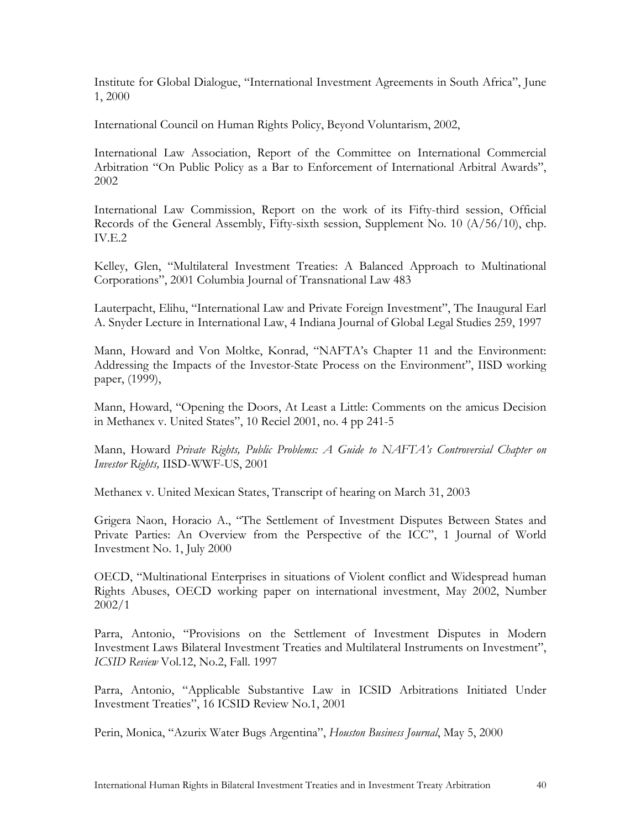Institute for Global Dialogue, "International Investment Agreements in South Africa", June 1, 2000

International Council on Human Rights Policy, Beyond Voluntarism, 2002,

International Law Association, Report of the Committee on International Commercial Arbitration "On Public Policy as a Bar to Enforcement of International Arbitral Awards", 2002

International Law Commission, Report on the work of its Fifty-third session, Official Records of the General Assembly, Fifty-sixth session, Supplement No. 10 (A/56/10), chp. IV.E.2

Kelley, Glen, "Multilateral Investment Treaties: A Balanced Approach to Multinational Corporations", 2001 Columbia Journal of Transnational Law 483

Lauterpacht, Elihu, "International Law and Private Foreign Investment", The Inaugural Earl A. Snyder Lecture in International Law, 4 Indiana Journal of Global Legal Studies 259, 1997

Mann, Howard and Von Moltke, Konrad, "NAFTA's Chapter 11 and the Environment: Addressing the Impacts of the Investor-State Process on the Environment", IISD working paper, (1999),

Mann, Howard, "Opening the Doors, At Least a Little: Comments on the amicus Decision in Methanex v. United States", 10 Reciel 2001, no. 4 pp 241-5

Mann, Howard *Private Rights, Public Problems: A Guide to NAFTA's Controversial Chapter on Investor Rights,* IISD-WWF-US, 2001

Methanex v. United Mexican States, Transcript of hearing on March 31, 2003

Grigera Naon, Horacio A., "The Settlement of Investment Disputes Between States and Private Parties: An Overview from the Perspective of the ICC", 1 Journal of World Investment No. 1, July 2000

OECD, "Multinational Enterprises in situations of Violent conflict and Widespread human Rights Abuses, OECD working paper on international investment, May 2002, Number 2002/1

Parra, Antonio, "Provisions on the Settlement of Investment Disputes in Modern Investment Laws Bilateral Investment Treaties and Multilateral Instruments on Investment", *ICSID Review* Vol.12, No.2, Fall. 1997

Parra, Antonio, "Applicable Substantive Law in ICSID Arbitrations Initiated Under Investment Treaties", 16 ICSID Review No.1, 2001

Perin, Monica, "Azurix Water Bugs Argentina", *Houston Business Journal*, May 5, 2000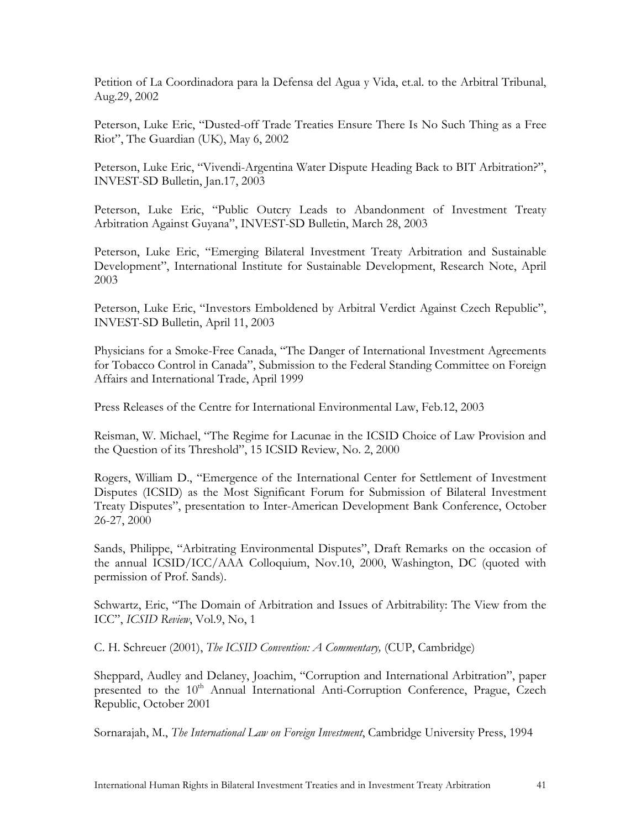Petition of La Coordinadora para la Defensa del Agua y Vida, et.al. to the Arbitral Tribunal, Aug.29, 2002

Peterson, Luke Eric, "Dusted-off Trade Treaties Ensure There Is No Such Thing as a Free Riot", The Guardian (UK), May 6, 2002

Peterson, Luke Eric, "Vivendi-Argentina Water Dispute Heading Back to BIT Arbitration?", INVEST-SD Bulletin, Jan.17, 2003

Peterson, Luke Eric, "Public Outcry Leads to Abandonment of Investment Treaty Arbitration Against Guyana", INVEST-SD Bulletin, March 28, 2003

Peterson, Luke Eric, "Emerging Bilateral Investment Treaty Arbitration and Sustainable Development", International Institute for Sustainable Development, Research Note, April 2003

Peterson, Luke Eric, "Investors Emboldened by Arbitral Verdict Against Czech Republic", INVEST-SD Bulletin, April 11, 2003

Physicians for a Smoke-Free Canada, "The Danger of International Investment Agreements for Tobacco Control in Canada", Submission to the Federal Standing Committee on Foreign Affairs and International Trade, April 1999

Press Releases of the Centre for International Environmental Law, Feb.12, 2003

Reisman, W. Michael, "The Regime for Lacunae in the ICSID Choice of Law Provision and the Question of its Threshold", 15 ICSID Review, No. 2, 2000

Rogers, William D., "Emergence of the International Center for Settlement of Investment Disputes (ICSID) as the Most Significant Forum for Submission of Bilateral Investment Treaty Disputes", presentation to Inter-American Development Bank Conference, October 26-27, 2000

Sands, Philippe, "Arbitrating Environmental Disputes", Draft Remarks on the occasion of the annual ICSID/ICC/AAA Colloquium, Nov.10, 2000, Washington, DC (quoted with permission of Prof. Sands).

Schwartz, Eric, "The Domain of Arbitration and Issues of Arbitrability: The View from the ICC", *ICSID Review*, Vol.9, No, 1

C. H. Schreuer (2001), *The ICSID Convention: A Commentary,* (CUP, Cambridge)

Sheppard, Audley and Delaney, Joachim, "Corruption and International Arbitration", paper presented to the 10<sup>th</sup> Annual International Anti-Corruption Conference, Prague, Czech Republic, October 2001

Sornarajah, M., *The International Law on Foreign Investment*, Cambridge University Press, 1994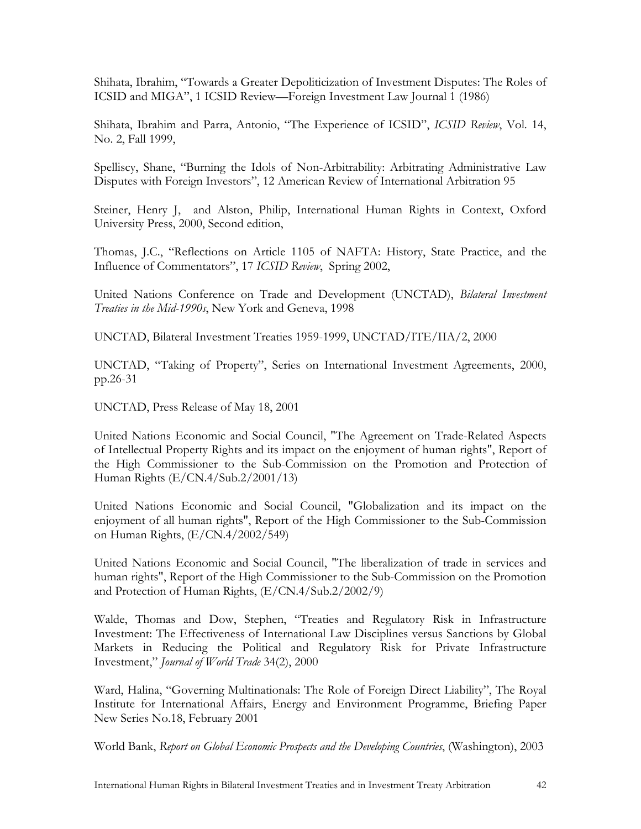Shihata, Ibrahim, "Towards a Greater Depoliticization of Investment Disputes: The Roles of ICSID and MIGA", 1 ICSID Review—Foreign Investment Law Journal 1 (1986)

Shihata, Ibrahim and Parra, Antonio, "The Experience of ICSID", *ICSID Review*, Vol. 14, No. 2, Fall 1999,

Spelliscy, Shane, "Burning the Idols of Non-Arbitrability: Arbitrating Administrative Law Disputes with Foreign Investors", 12 American Review of International Arbitration 95

Steiner, Henry J, and Alston, Philip, International Human Rights in Context, Oxford University Press, 2000, Second edition,

Thomas, J.C., "Reflections on Article 1105 of NAFTA: History, State Practice, and the Influence of Commentators", 17 *ICSID Review*, Spring 2002,

United Nations Conference on Trade and Development (UNCTAD), *Bilateral Investment Treaties in the Mid-1990s*, New York and Geneva, 1998

UNCTAD, Bilateral Investment Treaties 1959-1999, UNCTAD/ITE/IIA/2, 2000

UNCTAD, "Taking of Property", Series on International Investment Agreements, 2000, pp.26-31

UNCTAD, Press Release of May 18, 2001

United Nations Economic and Social Council, "The Agreement on Trade-Related Aspects of Intellectual Property Rights and its impact on the enjoyment of human rights", Report of the High Commissioner to the Sub-Commission on the Promotion and Protection of Human Rights (E/CN.4/Sub.2/2001/13)

United Nations Economic and Social Council, "Globalization and its impact on the enjoyment of all human rights", Report of the High Commissioner to the Sub-Commission on Human Rights, (E/CN.4/2002/549)

United Nations Economic and Social Council, "The liberalization of trade in services and human rights", Report of the High Commissioner to the Sub-Commission on the Promotion and Protection of Human Rights, (E/CN.4/Sub.2/2002/9)

Walde, Thomas and Dow, Stephen, "Treaties and Regulatory Risk in Infrastructure Investment: The Effectiveness of International Law Disciplines versus Sanctions by Global Markets in Reducing the Political and Regulatory Risk for Private Infrastructure Investment," *Journal of World Trade* 34(2), 2000

Ward, Halina, "Governing Multinationals: The Role of Foreign Direct Liability", The Royal Institute for International Affairs, Energy and Environment Programme, Briefing Paper New Series No.18, February 2001

World Bank, *Report on Global Economic Prospects and the Developing Countries*, (Washington), 2003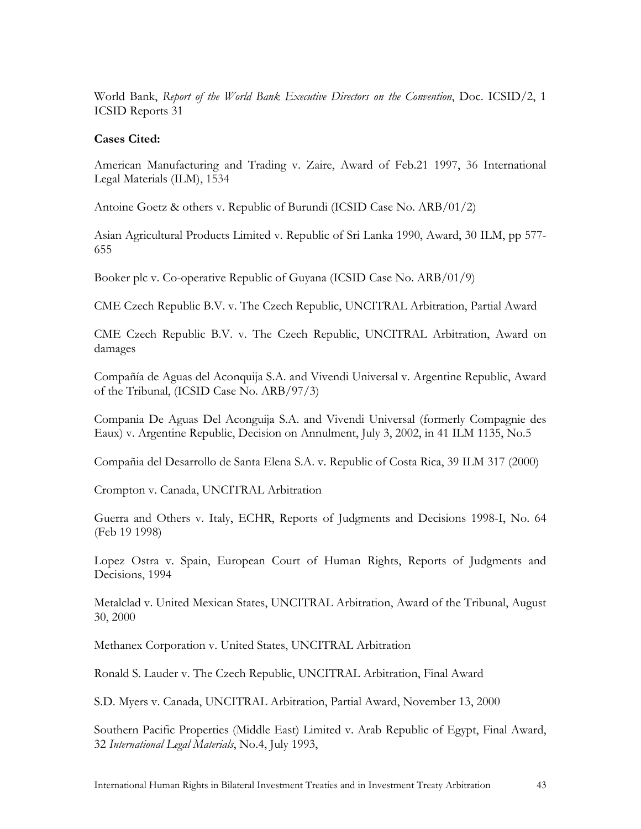World Bank, *Report of the World Bank Executive Directors on the Convention*, Doc. ICSID/2, 1 ICSID Reports 31

#### **Cases Cited:**

American Manufacturing and Trading v. Zaire, Award of Feb.21 1997, 36 International Legal Materials (ILM), 1534

Antoine Goetz & others v. Republic of Burundi (ICSID Case No. ARB/01/2)

Asian Agricultural Products Limited v. Republic of Sri Lanka 1990, Award, 30 ILM, pp 577- 655

Booker plc v. Co-operative Republic of Guyana (ICSID Case No. ARB/01/9)

CME Czech Republic B.V. v. The Czech Republic, UNCITRAL Arbitration, Partial Award

CME Czech Republic B.V. v. The Czech Republic, UNCITRAL Arbitration, Award on damages

Compañía de Aguas del Aconquija S.A. and Vivendi Universal v. Argentine Republic, Award of the Tribunal, (ICSID Case No. ARB/97/3)

Compania De Aguas Del Aconguija S.A. and Vivendi Universal (formerly Compagnie des Eaux) v. Argentine Republic, Decision on Annulment, July 3, 2002, in 41 ILM 1135, No.5

Compañia del Desarrollo de Santa Elena S.A. v. Republic of Costa Rica, 39 ILM 317 (2000)

Crompton v. Canada, UNCITRAL Arbitration

Guerra and Others v. Italy, ECHR, Reports of Judgments and Decisions 1998-I, No. 64 (Feb 19 1998)

Lopez Ostra v. Spain, European Court of Human Rights, Reports of Judgments and Decisions, 1994

Metalclad v. United Mexican States, UNCITRAL Arbitration, Award of the Tribunal, August 30, 2000

Methanex Corporation v. United States, UNCITRAL Arbitration

Ronald S. Lauder v. The Czech Republic, UNCITRAL Arbitration, Final Award

S.D. Myers v. Canada, UNCITRAL Arbitration, Partial Award, November 13, 2000

Southern Pacific Properties (Middle East) Limited v. Arab Republic of Egypt, Final Award, 32 *International Legal Materials*, No.4, July 1993,